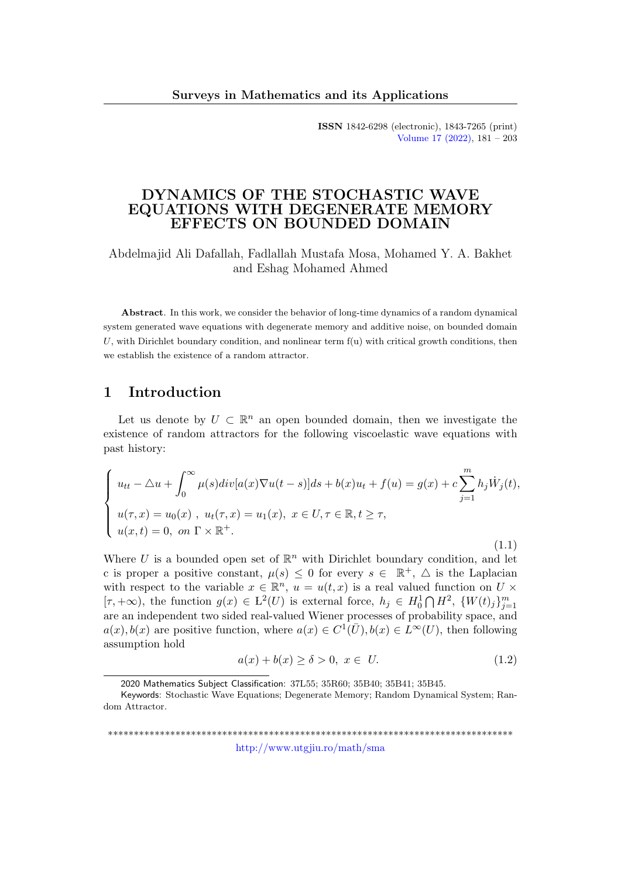ISSN 1842-6298 (electronic), 1843-7265 (print) [Volume 17 \(2022\),](http://www.utgjiu.ro/math/sma/v17/v17.html) 181 – 203

### DYNAMICS OF THE STOCHASTIC WAVE EQUATIONS WITH DEGENERATE MEMORY EFFECTS ON BOUNDED DOMAIN

Abdelmajid Ali Dafallah, Fadlallah Mustafa Mosa, Mohamed Y. A. Bakhet and Eshag Mohamed Ahmed

Abstract. In this work, we consider the behavior of long-time dynamics of a random dynamical system generated wave equations with degenerate memory and additive noise, on bounded domain  $U$ , with Dirichlet boundary condition, and nonlinear term  $f(u)$  with critical growth conditions, then we establish the existence of a random attractor.

### 1 Introduction

Let us denote by  $U \subset \mathbb{R}^n$  an open bounded domain, then we investigate the existence of random attractors for the following viscoelastic wave equations with past history:

$$
\begin{cases}\nu_{tt} - \triangle u + \int_0^\infty \mu(s)div[a(x)\nabla u(t-s)]ds + b(x)u_t + f(u) = g(x) + c\sum_{j=1}^m h_j \dot{W}_j(t), \\
u(\tau, x) = u_0(x), \ u_t(\tau, x) = u_1(x), \ x \in U, \tau \in \mathbb{R}, t \ge \tau, \\
u(x, t) = 0, \ on \ \Gamma \times \mathbb{R}^+.\n\end{cases}
$$
\n(1.1)

Where U is a bounded open set of  $\mathbb{R}^n$  with Dirichlet boundary condition, and let c is proper a positive constant,  $\mu(s) \leq 0$  for every  $s \in \mathbb{R}^+$ ,  $\triangle$  is the Laplacian with respect to the variable  $x \in \mathbb{R}^n$ ,  $u = u(t, x)$  is a real valued function on  $U \times$  $[\tau, +\infty)$ , the function  $g(x) \in L^2(U)$  is external force,  $h_j \in H_0^1 \cap H^2$ ,  $\{W(t)_j\}_{j=1}^m$ are an independent two sided real-valued Wiener processes of probability space, and  $a(x), b(x)$  are positive function, where  $a(x) \in C^1(\overline{U}), b(x) \in L^{\infty}(U)$ , then following assumption hold

$$
a(x) + b(x) \ge \delta > 0, \ x \in U. \tag{1.2}
$$

\*\*\*\*\*\*\*\*\*\*\*\*\*\*\*\*\*\*\*\*\*\*\*\*\*\*\*\*\*\*\*\*\*\*\*\*\*\*\*\*\*\*\*\*\*\*\*\*\*\*\*\*\*\*\*\*\*\*\*\*\*\*\*\*\*\*\*\*\*\*\*\*\*\*\*\*\*\* <http://www.utgjiu.ro/math/sma>

<sup>2020</sup> Mathematics Subject Classification: 37L55; 35R60; 35B40; 35B41; 35B45.

Keywords: Stochastic Wave Equations; Degenerate Memory; Random Dynamical System; Random Attractor.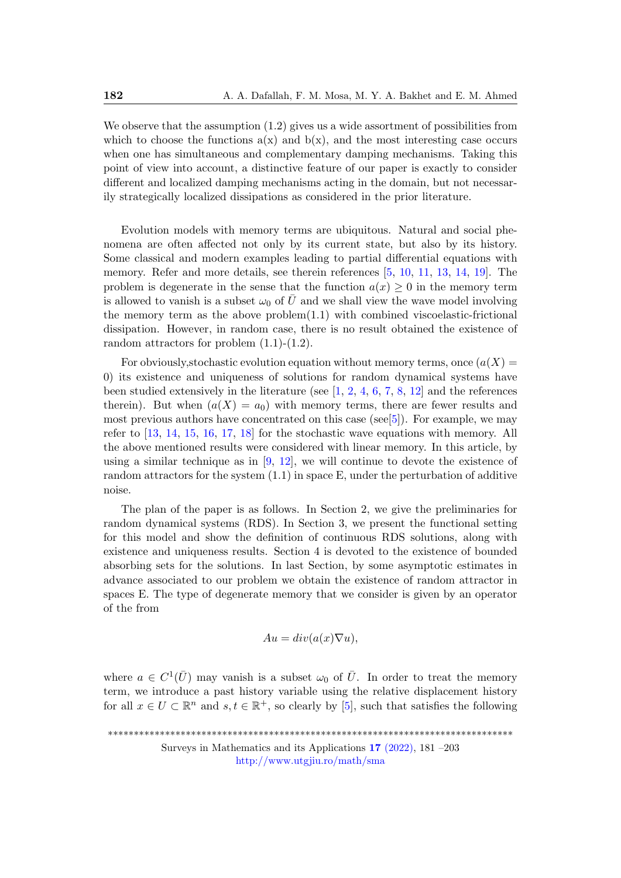We observe that the assumption  $(1.2)$  gives us a wide assortment of possibilities from which to choose the functions  $a(x)$  and  $b(x)$ , and the most interesting case occurs when one has simultaneous and complementary damping mechanisms. Taking this point of view into account, a distinctive feature of our paper is exactly to consider different and localized damping mechanisms acting in the domain, but not necessarily strategically localized dissipations as considered in the prior literature.

Evolution models with memory terms are ubiquitous. Natural and social phenomena are often affected not only by its current state, but also by its history. Some classical and modern examples leading to partial differential equations with memory. Refer and more details, see therein references [\[5,](#page-21-0) [10,](#page-21-1) [11,](#page-21-2) [13,](#page-21-3) [14,](#page-22-0) [19\]](#page-22-1). The problem is degenerate in the sense that the function  $a(x) \geq 0$  in the memory term is allowed to vanish is a subset  $\omega_0$  of  $\overline{U}$  and we shall view the wave model involving the memory term as the above problem $(1.1)$  with combined viscoelastic-frictional dissipation. However, in random case, there is no result obtained the existence of random attractors for problem (1.1)-(1.2).

For obviously, stochastic evolution equation without memory terms, once  $(a(X) =$ 0) its existence and uniqueness of solutions for random dynamical systems have been studied extensively in the literature (see  $[1, 2, 4, 6, 7, 8, 12]$  $[1, 2, 4, 6, 7, 8, 12]$  $[1, 2, 4, 6, 7, 8, 12]$  $[1, 2, 4, 6, 7, 8, 12]$  $[1, 2, 4, 6, 7, 8, 12]$  $[1, 2, 4, 6, 7, 8, 12]$  $[1, 2, 4, 6, 7, 8, 12]$  $[1, 2, 4, 6, 7, 8, 12]$  $[1, 2, 4, 6, 7, 8, 12]$  $[1, 2, 4, 6, 7, 8, 12]$  $[1, 2, 4, 6, 7, 8, 12]$  $[1, 2, 4, 6, 7, 8, 12]$  and the references therein). But when  $(a(X) = a_0)$  with memory terms, there are fewer results and most previous authors have concentrated on this case (see[\[5\]](#page-21-0)). For example, we may refer to [\[13,](#page-21-3) [14,](#page-22-0) [15,](#page-22-2) [16,](#page-22-3) [17,](#page-22-4) [18\]](#page-22-5) for the stochastic wave equations with memory. All the above mentioned results were considered with linear memory. In this article, by using a similar technique as in  $[9, 12]$  $[9, 12]$ , we will continue to devote the existence of random attractors for the system  $(1.1)$  in space E, under the perturbation of additive noise.

The plan of the paper is as follows. In Section 2, we give the preliminaries for random dynamical systems (RDS). In Section 3, we present the functional setting for this model and show the definition of continuous RDS solutions, along with existence and uniqueness results. Section 4 is devoted to the existence of bounded absorbing sets for the solutions. In last Section, by some asymptotic estimates in advance associated to our problem we obtain the existence of random attractor in spaces E. The type of degenerate memory that we consider is given by an operator of the from

$$
Au = div(a(x)\nabla u),
$$

where  $a \in C^1(\overline{U})$  may vanish is a subset  $\omega_0$  of  $\overline{U}$ . In order to treat the memory term, we introduce a past history variable using the relative displacement history for all  $x \in U \subset \mathbb{R}^n$  and  $s, t \in \mathbb{R}^+$ , so clearly by [\[5\]](#page-21-0), such that satisfies the following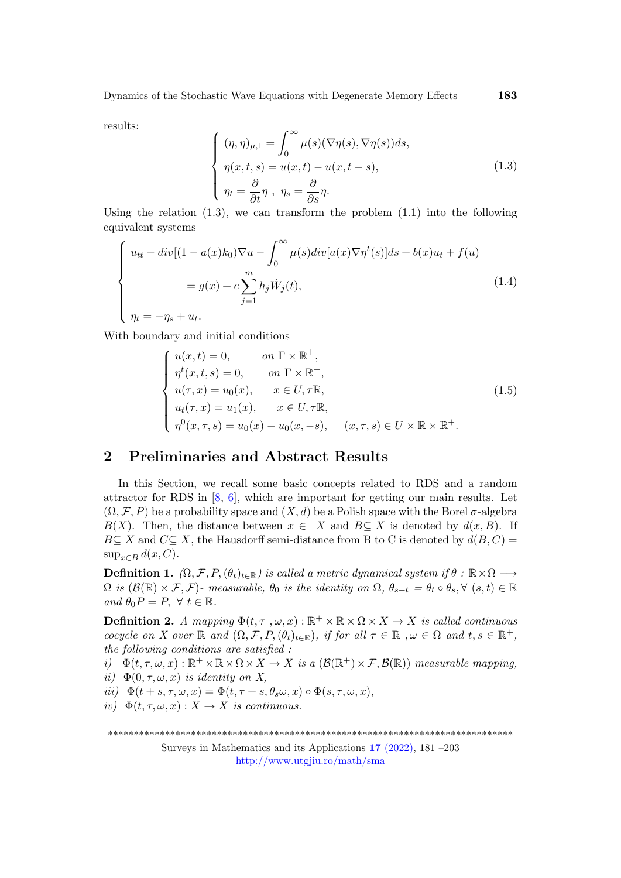results:

$$
\begin{cases}\n(\eta,\eta)_{\mu,1} = \int_0^\infty \mu(s)(\nabla \eta(s), \nabla \eta(s))ds, \\
\eta(x,t,s) = u(x,t) - u(x,t-s), \\
\eta_t = \frac{\partial}{\partial t}\eta, \ \eta_s = \frac{\partial}{\partial s}\eta.\n\end{cases}
$$
\n(1.3)

Using the relation  $(1.3)$ , we can transform the problem  $(1.1)$  into the following equivalent systems

$$
\begin{cases}\n u_{tt} - div[(1 - a(x)k_0)\nabla u - \int_0^\infty \mu(s)div[a(x)\nabla \eta^t(s)]ds + b(x)u_t + f(u) \\
= g(x) + c \sum_{j=1}^m h_j \dot{W}_j(t), \\
\eta_t = -\eta_s + u_t.\n\end{cases}
$$
\n(1.4)

With boundary and initial conditions

$$
\begin{cases}\nu(x,t) = 0, & \text{on } \Gamma \times \mathbb{R}^+, \\
\eta^t(x,t,s) = 0, & \text{on } \Gamma \times \mathbb{R}^+, \\
u(\tau,x) = u_0(x), & x \in U, \tau \mathbb{R}, \\
u_t(\tau,x) = u_1(x), & x \in U, \tau \mathbb{R}, \\
\eta^0(x,\tau,s) = u_0(x) - u_0(x,-s), & (x,\tau,s) \in U \times \mathbb{R} \times \mathbb{R}^+.\n\end{cases}
$$
\n(1.5)

## 2 Preliminaries and Abstract Results

In this Section, we recall some basic concepts related to RDS and a random attractor for RDS in [\[8,](#page-21-9) [6\]](#page-21-7), which are important for getting our main results. Let  $(\Omega, \mathcal{F}, P)$  be a probability space and  $(X, d)$  be a Polish space with the Borel  $\sigma$ -algebra B(X). Then, the distance between  $x \in X$  and  $B \subseteq X$  is denoted by  $d(x, B)$ . If  $B\subseteq X$  and  $C\subseteq X$ , the Hausdorff semi-distance from B to C is denoted by  $d(B, C)$  =  $\sup_{x \in B} d(x, C)$ .

**Definition 1.**  $(\Omega, \mathcal{F}, P, (\theta_t)_{t \in \mathbb{R}})$  is called a metric dynamical system if  $\theta : \mathbb{R} \times \Omega \longrightarrow$  $\Omega$  is  $(\mathcal{B}(\mathbb{R}) \times \mathcal{F}, \mathcal{F})$ - measurable,  $\theta_0$  is the identity on  $\Omega$ ,  $\theta_{s+t} = \theta_t \circ \theta_s$ ,  $\forall$   $(s, t) \in \mathbb{R}$ and  $\theta_0 P = P$ ,  $\forall t \in \mathbb{R}$ .

**Definition 2.** A mapping  $\Phi(t, \tau, \omega, x): \mathbb{R}^+ \times \mathbb{R} \times \Omega \times X \to X$  is called continuous cocycle on X over  $\mathbb R$  and  $(\Omega, \mathcal{F}, P, (\theta_t)_{t \in \mathbb R})$ , if for all  $\tau \in \mathbb R$ ,  $\omega \in \Omega$  and  $t, s \in \mathbb R^+$ , the following conditions are satisfied :

i)  $\Phi(t, \tau, \omega, x): \mathbb{R}^+ \times \mathbb{R} \times \Omega \times X \to X$  is a  $(\mathcal{B}(\mathbb{R}^+) \times \mathcal{F}, \mathcal{B}(\mathbb{R}))$  measurable mapping, ii)  $\Phi(0, \tau, \omega, x)$  is identity on X,

iii)  $\Phi(t + s, \tau, \omega, x) = \Phi(t, \tau + s, \theta_s \omega, x) \circ \Phi(s, \tau, \omega, x),$ 

iv)  $\Phi(t, \tau, \omega, x): X \to X$  is continuous.

\*\*\*\*\*\*\*\*\*\*\*\*\*\*\*\*\*\*\*\*\*\*\*\*\*\*\*\*\*\*\*\*\*\*\*\*\*\*\*\*\*\*\*\*\*\*\*\*\*\*\*\*\*\*\*\*\*\*\*\*\*\*\*\*\*\*\*\*\*\*\*\*\*\*\*\*\*\*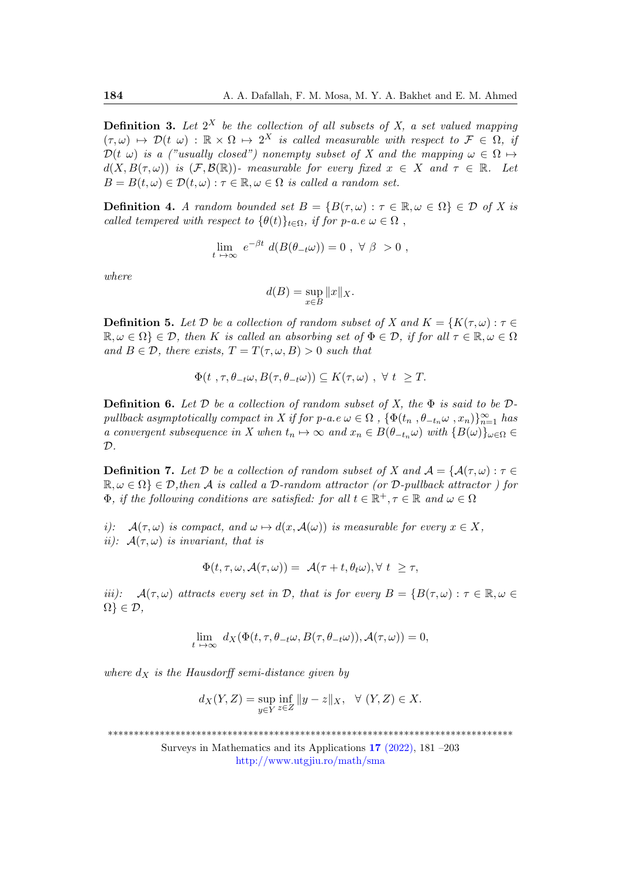**Definition 3.** Let  $2^X$  be the collection of all subsets of X, a set valued mapping  $(\tau, \omega) \mapsto \mathcal{D}(t, \omega) : \mathbb{R} \times \Omega \mapsto 2^X$  is called measurable with respect to  $\mathcal{F} \in \Omega$ , if  $\mathcal{D}(t,\omega)$  is a ("usually closed") nonempty subset of X and the mapping  $\omega \in \Omega \mapsto$  $d(X, B(\tau, \omega))$  is  $(\mathcal{F}, \mathcal{B}(\mathbb{R}))$ - measurable for every fixed  $x \in X$  and  $\tau \in \mathbb{R}$ . Let  $B = B(t, \omega) \in \mathcal{D}(t, \omega) : \tau \in \mathbb{R}, \omega \in \Omega$  is called a random set.

**Definition 4.** A random bounded set  $B = \{B(\tau, \omega) : \tau \in \mathbb{R}, \omega \in \Omega\} \in \mathcal{D}$  of X is called tempered with respect to  $\{\theta(t)\}_{t\in\Omega}$ , if for p-a.e  $\omega \in \Omega$ ,

$$
\lim_{t \to \infty} e^{-\beta t} d(B(\theta_{-t}\omega)) = 0 , \ \forall \ \beta > 0 ,
$$

where

$$
d(B) = \sup_{x \in B} ||x||_X.
$$

**Definition 5.** Let D be a collection of random subset of X and  $K = \{K(\tau, \omega): \tau \in$  $\mathbb{R}, \omega \in \Omega$   $\in \mathcal{D}$ , then K is called an absorbing set of  $\Phi \in \mathcal{D}$ , if for all  $\tau \in \mathbb{R}, \omega \in \Omega$ and  $B \in \mathcal{D}$ , there exists,  $T = T(\tau, \omega, B) > 0$  such that

$$
\Phi(t, \tau, \theta_{-t}\omega, B(\tau, \theta_{-t}\omega)) \subseteq K(\tau, \omega) , \forall t \geq T.
$$

**Definition 6.** Let D be a collection of random subset of X, the  $\Phi$  is said to be Dpullback asymptotically compact in X if for p-a.e  $\omega \in \Omega$ ,  $\{\Phi(t_n, \theta_{-t_n}\omega, x_n)\}_{n=1}^{\infty}$  has a convergent subsequence in X when  $t_n \mapsto \infty$  and  $x_n \in B(\theta_{-t_n}\omega)$  with  $\{B(\omega)\}_{\omega \in \Omega} \in$  $\mathcal{D}$ .

**Definition 7.** Let D be a collection of random subset of X and  $A = \{A(\tau,\omega) : \tau \in$  $\mathbb{R}, \omega \in \Omega$   $\in \mathcal{D}$ , then A is called a D-random attractor (or D-pullback attractor) for  $\Phi$ , if the following conditions are satisfied: for all  $t \in \mathbb{R}^+, \tau \in \mathbb{R}$  and  $\omega \in \Omega$ 

i):  $\mathcal{A}(\tau,\omega)$  is compact, and  $\omega \mapsto d(x,\mathcal{A}(\omega))$  is measurable for every  $x \in X$ , ii):  $A(\tau,\omega)$  is invariant, that is

$$
\Phi(t,\tau,\omega,\mathcal{A}(\tau,\omega)) = \mathcal{A}(\tau+t,\theta_t\omega), \forall t \geq \tau,
$$

iii):  $\mathcal{A}(\tau,\omega)$  attracts every set in D, that is for every  $B = \{B(\tau,\omega) : \tau \in \mathbb{R}, \omega \in$  $\Omega$ }  $\in \mathcal{D}$ ,

$$
\lim_{t \to \infty} d_X(\Phi(t, \tau, \theta_{-t}\omega, B(\tau, \theta_{-t}\omega)), \mathcal{A}(\tau, \omega)) = 0,
$$

where  $d_X$  is the Hausdorff semi-distance given by

$$
d_X(Y,Z)=\sup_{y\in Y}\inf_{z\in Z}\|y-z\|_X, \ \ \forall\ (Y,Z)\in X.
$$

\*\*\*\*\*\*\*\*\*\*\*\*\*\*\*\*\*\*\*\*\*\*\*\*\*\*\*\*\*\*\*\*\*\*\*\*\*\*\*\*\*\*\*\*\*\*\*\*\*\*\*\*\*\*\*\*\*\*\*\*\*\*\*\*\*\*\*\*\*\*\*\*\*\*\*\*\*\*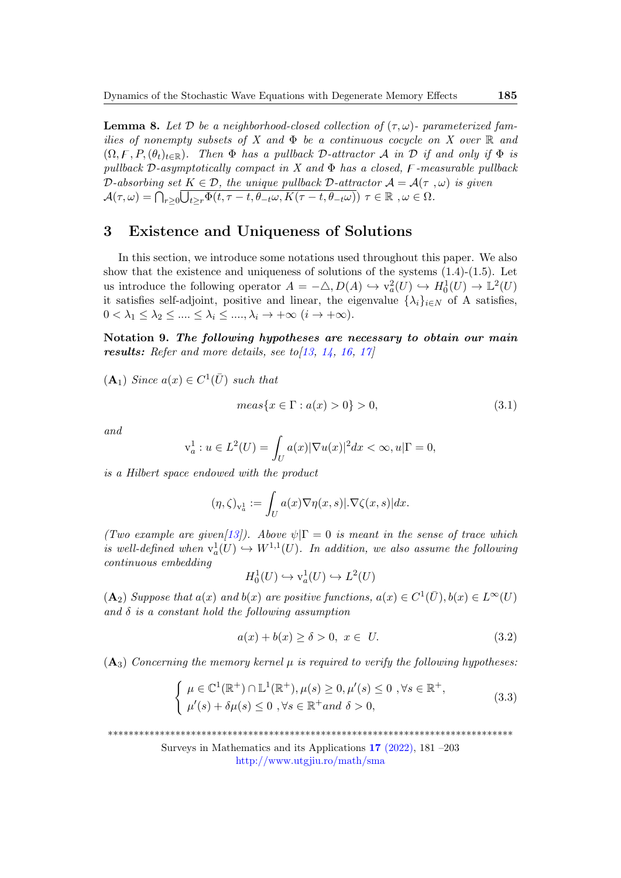**Lemma 8.** Let  $D$  be a neighborhood-closed collection of  $(\tau, \omega)$ - parameterized families of nonempty subsets of X and  $\Phi$  be a continuous cocycle on X over R and  $(\Omega, \mathcal{F}, P, (\theta_t)_{t\in\mathbb{R}})$ . Then  $\Phi$  has a pullback D-attractor A in D if and only if  $\Phi$  is pullback D-asymptotically compact in X and  $\Phi$  has a closed, F-measurable pullback D-absorbing set  $K \in \mathcal{D}$ , the unique pullback D-attractor  $\mathcal{A} = \mathcal{A}(\tau, \omega)$  is given  $\mathcal{A}(\tau,\omega)=\bigcap_{r\geq 0}\overline{\bigcup_{t\geq r}\Phi(t,\tau-t,\theta_{-t}\omega,K(\tau-t,\theta_{-t}\omega))}\,\,\tau\in\mathbb{R}\,\,,\omega\in\Omega.$ 

### 3 Existence and Uniqueness of Solutions

In this section, we introduce some notations used throughout this paper. We also show that the existence and uniqueness of solutions of the systems  $(1.4)-(1.5)$ . Let us introduce the following operator  $A = -\triangle, D(A) \hookrightarrow v_a^2(U) \hookrightarrow H_0^1(U) \to \mathbb{L}^2(U)$ it satisfies self-adjoint, positive and linear, the eigenvalue  $\{\lambda_i\}_{i\in\mathbb{N}}$  of A satisfies,  $0 < \lambda_1 \leq \lambda_2 \leq \ldots \leq \lambda_i \leq \ldots, \lambda_i \to +\infty \ (i \to +\infty).$ 

Notation 9. The following hypotheses are necessary to obtain our main results: Refer and more details, see to  $\left[13, 14, 16, 17\right]$  $\left[13, 14, 16, 17\right]$  $\left[13, 14, 16, 17\right]$  $\left[13, 14, 16, 17\right]$  $\left[13, 14, 16, 17\right]$  $\left[13, 14, 16, 17\right]$  $\left[13, 14, 16, 17\right]$ 

 $(A_1)$  Since  $a(x) \in C^1(\overline{U})$  such that

$$
meas\{x \in \Gamma : a(x) > 0\} > 0,\tag{3.1}
$$

and

$$
v_a^1 : u \in L^2(U) = \int_U a(x) |\nabla u(x)|^2 dx < \infty, u|\Gamma = 0,
$$

is a Hilbert space endowed with the product

$$
(\eta,\zeta)_{\mathbf{v}_a^1} := \int_U a(x)\nabla \eta(x,s)|\cdot \nabla \zeta(x,s)| dx.
$$

(Two example are given[\[13\]](#page-21-3)). Above  $\psi|\Gamma=0$  is meant in the sense of trace which is well-defined when  $v_a^1(U) \hookrightarrow W^{1,1}(U)$ . In addition, we also assume the following continuous embedding

$$
H_0^1(U) \hookrightarrow \mathbf{v}_a^1(U) \hookrightarrow L^2(U)
$$

 $(\mathbf{A}_2)$  Suppose that  $a(x)$  and  $b(x)$  are positive functions,  $a(x) \in C^1(\overline{U}), b(x) \in L^{\infty}(U)$ and  $\delta$  is a constant hold the following assumption

$$
a(x) + b(x) \ge \delta > 0, \ x \in U. \tag{3.2}
$$

 $(A_3)$  Concerning the memory kernel  $\mu$  is required to verify the following hypotheses:

$$
\begin{cases} \mu \in \mathbb{C}^{1}(\mathbb{R}^{+}) \cap \mathbb{L}^{1}(\mathbb{R}^{+}), \mu(s) \ge 0, \mu'(s) \le 0, \forall s \in \mathbb{R}^{+}, \\ \mu'(s) + \delta \mu(s) \le 0, \forall s \in \mathbb{R}^{+} and \delta > 0, \end{cases}
$$
\n(3.3)

\*\*\*\*\*\*\*\*\*\*\*\*\*\*\*\*\*\*\*\*\*\*\*\*\*\*\*\*\*\*\*\*\*\*\*\*\*\*\*\*\*\*\*\*\*\*\*\*\*\*\*\*\*\*\*\*\*\*\*\*\*\*\*\*\*\*\*\*\*\*\*\*\*\*\*\*\*\*

Surveys in Mathematics and its Applications 17 [\(2022\),](http://www.utgjiu.ro/math/sma/v17/v17.html) 181 –203

<http://www.utgjiu.ro/math/sma>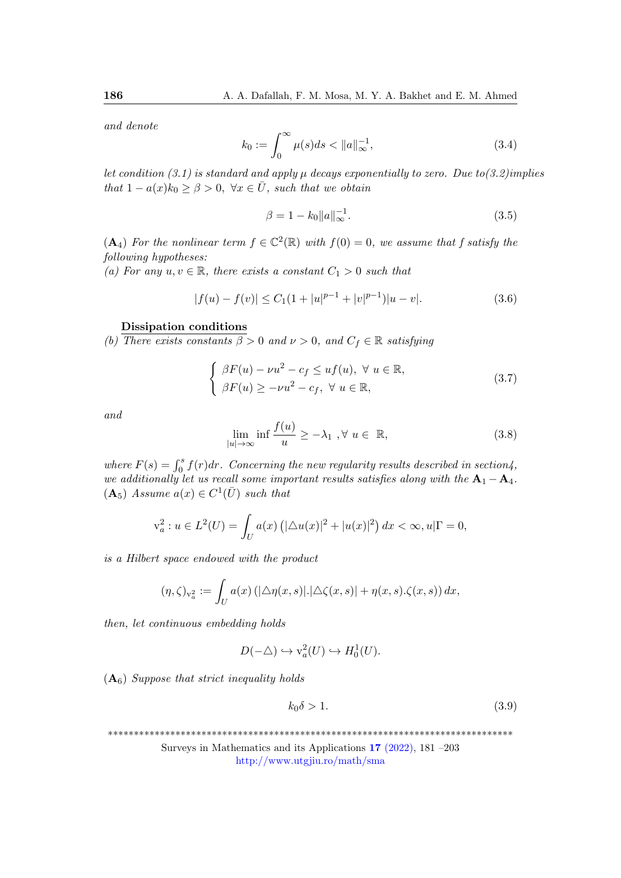and denote

$$
k_0 := \int_0^\infty \mu(s)ds < \|a\|_{\infty}^{-1},\tag{3.4}
$$

let condition (3.1) is standard and apply  $\mu$  decays exponentially to zero. Due to(3.2)implies that  $1 - a(x)k_0 \geq \beta > 0$ ,  $\forall x \in \overline{U}$ , such that we obtain

$$
\beta = 1 - k_0 \|a\|_{\infty}^{-1}.
$$
\n(3.5)

 $(A_4)$  For the nonlinear term  $f \in \mathbb{C}^2(\mathbb{R})$  with  $f(0) = 0$ , we assume that f satisfy the following hypotheses:

(a) For any  $u, v \in \mathbb{R}$ , there exists a constant  $C_1 > 0$  such that

$$
|f(u) - f(v)| \le C_1(1 + |u|^{p-1} + |v|^{p-1})|u - v|.
$$
\n(3.6)

#### Dissipation conditions

(b) There exists constants  $\beta > 0$  and  $\nu > 0$ , and  $C_f \in \mathbb{R}$  satisfying

$$
\begin{cases}\n\beta F(u) - \nu u^2 - c_f \leq u f(u), \ \forall \ u \in \mathbb{R}, \\
\beta F(u) \geq -\nu u^2 - c_f, \ \forall \ u \in \mathbb{R},\n\end{cases}
$$
\n(3.7)

and

$$
\lim_{|u| \to \infty} \inf \frac{f(u)}{u} \ge -\lambda_1, \forall u \in \mathbb{R},
$$
\n(3.8)

where  $F(s) = \int_0^s f(r) dr$ . Concerning the new regularity results described in section4, we additionally let us recall some important results satisfies along with the  $A_1 - A_4$ .  $(A_5)$  Assume  $a(x) \in C^1(\overline{U})$  such that

$$
v_a^2 : u \in L^2(U) = \int_U a(x) \left( |\triangle u(x)|^2 + |u(x)|^2 \right) dx < \infty, u|\Gamma = 0,
$$

is a Hilbert space endowed with the product

$$
(\eta,\zeta)_{\mathbf{v}_a^2} := \int_U a(x) \left( |\triangle \eta(x,s)|. |\triangle \zeta(x,s)| + \eta(x,s). \zeta(x,s) \right) dx,
$$

then, let continuous embedding holds

$$
D(-\triangle) \hookrightarrow \mathbf{v}_a^2(U) \hookrightarrow H_0^1(U).
$$

 $(A<sub>6</sub>)$  Suppose that strict inequality holds

$$
k_0 \delta > 1. \tag{3.9}
$$

\*\*\*\*\*\*\*\*\*\*\*\*\*\*\*\*\*\*\*\*\*\*\*\*\*\*\*\*\*\*\*\*\*\*\*\*\*\*\*\*\*\*\*\*\*\*\*\*\*\*\*\*\*\*\*\*\*\*\*\*\*\*\*\*\*\*\*\*\*\*\*\*\*\*\*\*\*\*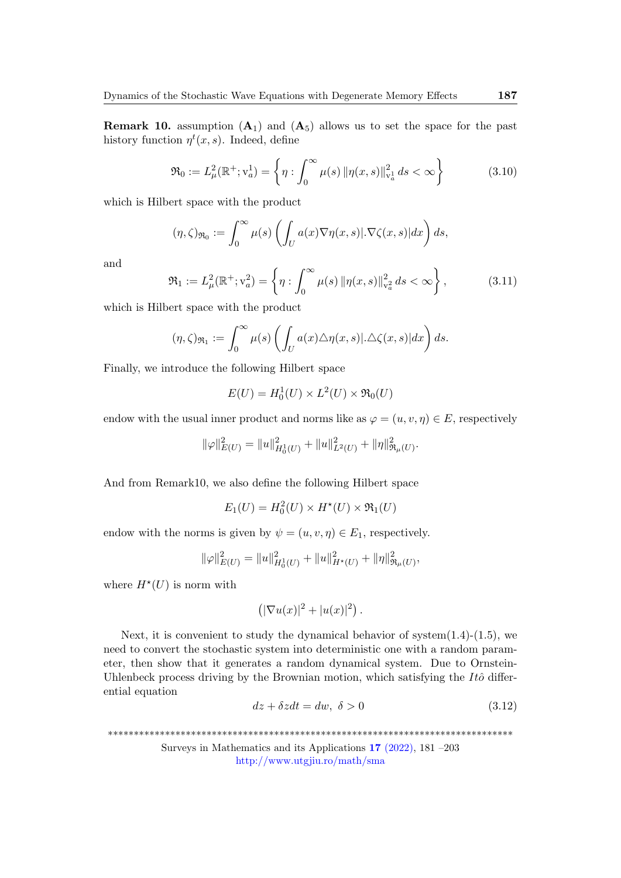**Remark 10.** assumption  $(A_1)$  and  $(A_5)$  allows us to set the space for the past history function  $\eta^t(x, s)$ . Indeed, define

$$
\mathfrak{R}_0 := L^2_{\mu}(\mathbb{R}^+; \mathbf{v}_a^1) = \left\{ \eta : \int_0^\infty \mu(s) \left\| \eta(x, s) \right\|_{\mathbf{v}_a^1}^2 ds < \infty \right\} \tag{3.10}
$$

which is Hilbert space with the product

$$
(\eta,\zeta)_{\Re_0} := \int_0^\infty \mu(s) \left( \int_U a(x) \nabla \eta(x,s) |\nabla \zeta(x,s)| dx \right) ds,
$$

and

$$
\mathfrak{R}_1 := L^2_{\mu}(\mathbb{R}^+; \mathbf{v}_a^2) = \left\{ \eta : \int_0^\infty \mu(s) \left\| \eta(x, s) \right\|_{\mathbf{v}_a^2}^2 ds < \infty \right\},\tag{3.11}
$$

which is Hilbert space with the product

$$
(\eta,\zeta)_{\Re_1} := \int_0^\infty \mu(s) \left( \int_U a(x) \triangle \eta(x,s) | \triangle \zeta(x,s) | dx \right) ds.
$$

Finally, we introduce the following Hilbert space

$$
E(U) = H_0^1(U) \times L^2(U) \times \mathfrak{R}_0(U)
$$

endow with the usual inner product and norms like as  $\varphi = (u, v, \eta) \in E$ , respectively

$$
\|\varphi\|_{E(U)}^2 = \|u\|_{H_0^1(U)}^2 + \|u\|_{L^2(U)}^2 + \|\eta\|_{\mathfrak{R}_\mu(U)}^2.
$$

And from Remark10, we also define the following Hilbert space

$$
E_1(U) = H_0^2(U) \times H^*(U) \times \mathfrak{R}_1(U)
$$

endow with the norms is given by  $\psi = (u, v, \eta) \in E_1$ , respectively.

$$
\|\varphi\|_{E(U)}^2 = \|u\|_{H_0^1(U)}^2 + \|u\|_{H^*(U)}^2 + \|\eta\|_{\mathfrak{R}_\mu(U)}^2,
$$

where  $H^*(U)$  is norm with

$$
\left(|\nabla u(x)|^2+|u(x)|^2\right).
$$

Next, it is convenient to study the dynamical behavior of system $(1.4)-(1.5)$ , we need to convert the stochastic system into deterministic one with a random parameter, then show that it generates a random dynamical system. Due to Ornstein-Uhlenbeck process driving by the Brownian motion, which satisfying the  $It\hat{o}$  differential equation

$$
dz + \delta z dt = dw, \ \delta > 0 \tag{3.12}
$$

\*\*\*\*\*\*\*\*\*\*\*\*\*\*\*\*\*\*\*\*\*\*\*\*\*\*\*\*\*\*\*\*\*\*\*\*\*\*\*\*\*\*\*\*\*\*\*\*\*\*\*\*\*\*\*\*\*\*\*\*\*\*\*\*\*\*\*\*\*\*\*\*\*\*\*\*\*\*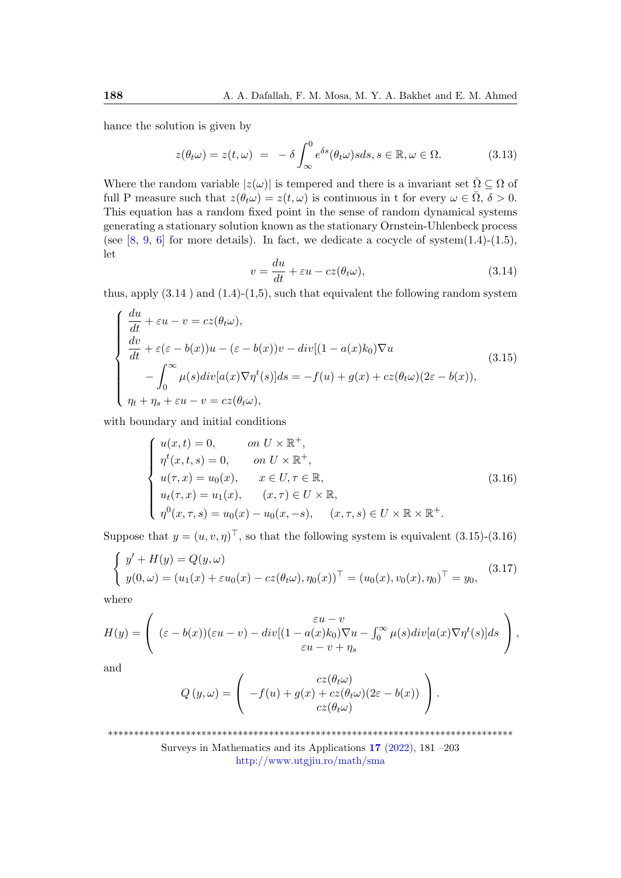hance the solution is given by

$$
z(\theta_t \omega) = z(t, \omega) = -\delta \int_{\infty}^0 e^{\delta s} (\theta_t \omega) s ds, s \in \mathbb{R}, \omega \in \Omega.
$$
 (3.13)

Where the random variable  $|z(\omega)|$  is tempered and there is a invariant set  $\overline{\Omega} \subseteq \Omega$  of full P measure such that  $z(\theta_t \omega) = z(t, \omega)$  is continuous in t for every  $\omega \in \overline{\Omega}, \delta > 0$ . This equation has a random fixed point in the sense of random dynamical systems generating a stationary solution known as the stationary Ornstein-Uhlenbeck process (see  $[8, 9, 6]$  $[8, 9, 6]$  $[8, 9, 6]$  $[8, 9, 6]$  for more details). In fact, we dedicate a cocycle of system $(1.4)-(1.5)$ , let

$$
v = \frac{du}{dt} + \varepsilon u - cz(\theta_t \omega), \tag{3.14}
$$

thus, apply  $(3.14)$  and  $(1.4)-(1.5)$ , such that equivalent the following random system

$$
\begin{cases}\n\frac{du}{dt} + \varepsilon u - v = cz(\theta_t \omega), \\
\frac{dv}{dt} + \varepsilon (\varepsilon - b(x))u - (\varepsilon - b(x))v - div[(1 - a(x)k_0)\nabla u \\
-\int_0^\infty \mu(s)div[a(x)\nabla \eta^t(s)]ds = -f(u) + g(x) + cz(\theta_t \omega)(2\varepsilon - b(x)), \\
\eta_t + \eta_s + \varepsilon u - v = cz(\theta_t \omega),\n\end{cases}
$$
\n(3.15)

with boundary and initial conditions

$$
\begin{cases}\nu(x,t) = 0, & \text{on } U \times \mathbb{R}^+, \\
\eta^t(x,t,s) = 0, & \text{on } U \times \mathbb{R}^+, \\
u(\tau,x) = u_0(x), & x \in U, \tau \in \mathbb{R}, \\
u_t(\tau,x) = u_1(x), & (x,\tau) \in U \times \mathbb{R}, \\
\eta^0(x,\tau,s) = u_0(x) - u_0(x,-s), & (x,\tau,s) \in U \times \mathbb{R} \times \mathbb{R}^+.\n\end{cases}
$$
\n(3.16)

Suppose that  $y = (u, v, \eta)^{\top}$ , so that the following system is equivalent (3.15)-(3.16)

$$
\begin{cases}\ny' + H(y) = Q(y, \omega) \\
y(0, \omega) = (u_1(x) + \varepsilon u_0(x) - cz(\theta_t \omega), \eta_0(x))^{\top} = (u_0(x), v_0(x), \eta_0)^{\top} = y_0,\n\end{cases}
$$
\n(3.17)

where

$$
H(y) = \begin{pmatrix} \varepsilon u - v \\ (\varepsilon - b(x))(\varepsilon u - v) - div[(1 - a(x)k_0)\nabla u - \int_0^\infty \mu(s)div[a(x)\nabla \eta^t(s)]ds \\ \varepsilon u - v + \eta_s \end{pmatrix},
$$

and

$$
Q(y,\omega) = \begin{pmatrix} cz(\theta_t\omega) \\ -f(u) + g(x) + cz(\theta_t\omega)(2\varepsilon - b(x)) \\ cz(\theta_t\omega) \end{pmatrix}.
$$

\*\*\*\*\*\*\*\*\*\*\*\*\*\*\*\*\*\*\*\*\*\*\*\*\*\*\*\*\*\*\*\*\*\*\*\*\*\*\*\*\*\*\*\*\*\*\*\*\*\*\*\*\*\*\*\*\*\*\*\*\*\*\*\*\*\*\*\*\*\*\*\*\*\*\*\*\*\*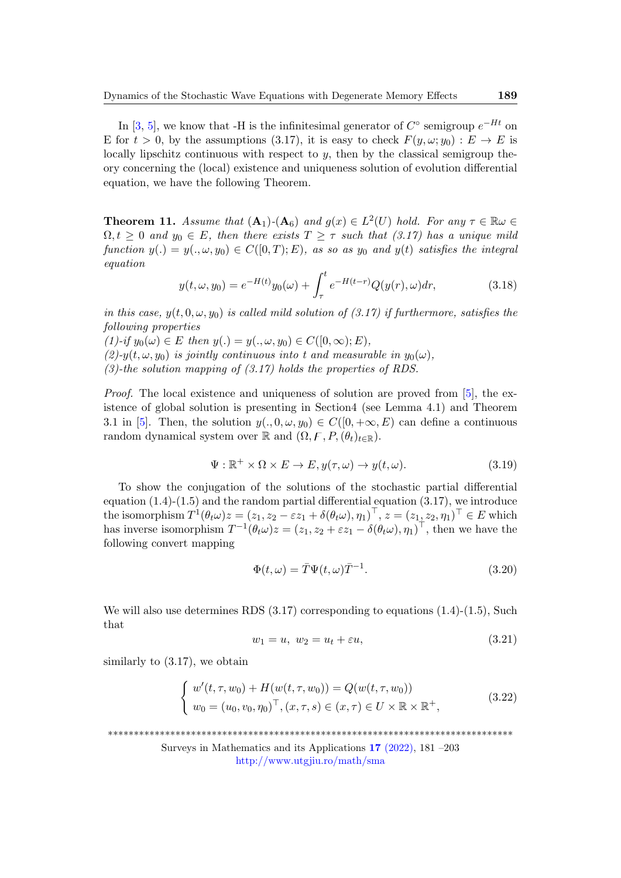In [\[3,](#page-21-12) [5\]](#page-21-0), we know that -H is the infinitesimal generator of  $C^{\circ}$  semigroup  $e^{-Ht}$  on E for  $t > 0$ , by the assumptions (3.17), it is easy to check  $F(y, \omega; y_0) : E \to E$  is locally lipschitz continuous with respect to  $y$ , then by the classical semigroup theory concerning the (local) existence and uniqueness solution of evolution differential equation, we have the following Theorem.

**Theorem 11.** Assume that  $(A_1)$ - $(A_6)$  and  $g(x) \in L^2(U)$  hold. For any  $\tau \in \mathbb{R}\omega$  $\Omega, t \geq 0$  and  $y_0 \in E$ , then there exists  $T \geq \tau$  such that (3.17) has a unique mild function  $y(.) = y(., \omega, y_0) \in C([0, T); E)$ , as so as  $y_0$  and  $y(t)$  satisfies the integral equation

$$
y(t, \omega, y_0) = e^{-H(t)}y_0(\omega) + \int_{\tau}^{t} e^{-H(t-r)}Q(y(r), \omega)dr,
$$
\n(3.18)

in this case,  $y(t, 0, \omega, y_0)$  is called mild solution of (3.17) if furthermore, satisfies the following properties

 $(1)$ -if  $y_0(\omega) \in E$  then  $y(.) = y(.,\omega, y_0) \in C([0,\infty);E)$ ,

 $(2)-y(t,\omega, y_0)$  is jointly continuous into t and measurable in  $y_0(\omega)$ ,  $(3)$ -the solution mapping of  $(3.17)$  holds the properties of RDS.

*Proof.* The local existence and uniqueness of solution are proved from  $[5]$ , the existence of global solution is presenting in Section4 (see Lemma 4.1) and Theorem 3.1 in [\[5\]](#page-21-0). Then, the solution  $y(., 0, \omega, y_0) \in C([0, +\infty, E)$  can define a continuous random dynamical system over R and  $(\Omega, \mathcal{F}, P, (\theta_t)_{t \in \mathbb{R}})$ .

$$
\Psi: \mathbb{R}^+ \times \Omega \times E \to E, y(\tau, \omega) \to y(t, \omega).
$$
\n(3.19)

To show the conjugation of the solutions of the stochastic partial differential equation  $(1.4)-(1.5)$  and the random partial differential equation  $(3.17)$ , we introduce the isomorphism  $T^1(\theta_t\omega)z = (z_1, z_2 - \varepsilon z_1 + \delta(\theta_t\omega), \eta_1)^\top, z = (z_1, z_2, \eta_1)^\top \in E$  which has inverse isomorphism  $T^{-1}(\theta_t\omega)z = (z_1, z_2 + \varepsilon z_1 - \delta(\theta_t\omega), \eta_1)^\top$ , then we have the following convert mapping

$$
\Phi(t,\omega) = \bar{T}\Psi(t,\omega)\bar{T}^{-1}.
$$
\n(3.20)

We will also use determines RDS  $(3.17)$  corresponding to equations  $(1.4)-(1.5)$ , Such that

$$
w_1 = u, \ w_2 = u_t + \varepsilon u,\tag{3.21}
$$

similarly to (3.17), we obtain

$$
\begin{cases}\nw'(t,\tau,w_0) + H(w(t,\tau,w_0)) = Q(w(t,\tau,w_0)) \\
w_0 = (u_0,v_0,\eta_0)^\top, (x,\tau,s) \in (x,\tau) \in U \times \mathbb{R} \times \mathbb{R}^+, \n\end{cases} (3.22)
$$

\*\*\*\*\*\*\*\*\*\*\*\*\*\*\*\*\*\*\*\*\*\*\*\*\*\*\*\*\*\*\*\*\*\*\*\*\*\*\*\*\*\*\*\*\*\*\*\*\*\*\*\*\*\*\*\*\*\*\*\*\*\*\*\*\*\*\*\*\*\*\*\*\*\*\*\*\*\*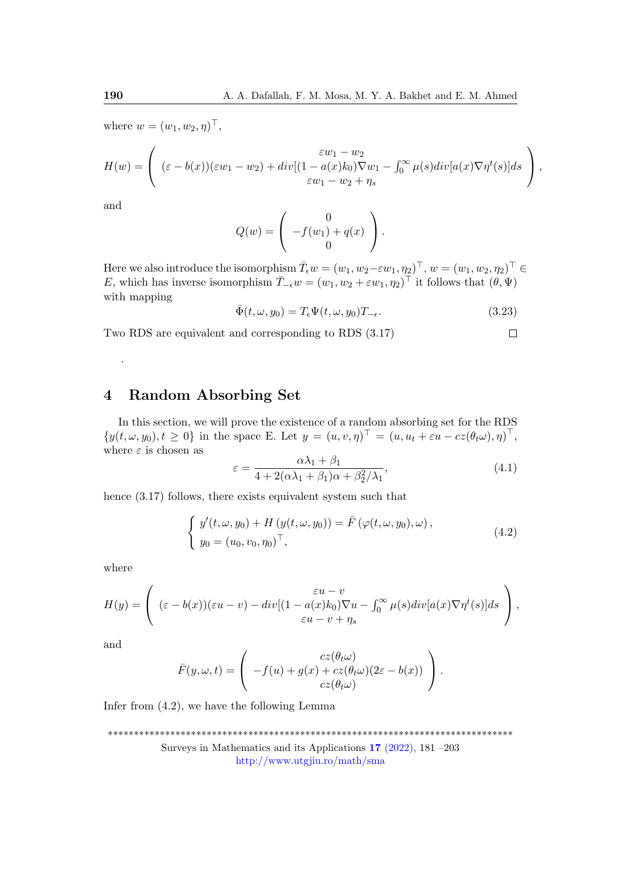where  $w = (w_1, w_2, \eta)^\top$ ,

$$
H(w) = \left( (\varepsilon - b(x))(\varepsilon w_1 - w_2) + div[(1 - a(x)k_0)\nabla w_1 - \int_0^\infty \mu(s)div[a(x)\nabla \eta^t(s)]ds \right),
$$
  

$$
\varepsilon w_1 - w_2 + \eta_s
$$

and

.

$$
Q(w) = \left(\begin{array}{c} 0 \\ -f(w_1) + q(x) \\ 0 \end{array}\right).
$$

Here we also introduce the isomorphism  $\bar{T}_{\epsilon}w = (w_1, w_2 - \epsilon w_1, \eta_2)^{\top}, w = (w_1, w_2, \eta_2)^{\top} \in$ E, which has inverse isomorphism  $\overline{T}_{-\epsilon}w = (w_1, w_2 + \epsilon w_1, \eta_2)^\top$  it follows that  $(\theta, \Psi)$ with mapping

$$
\bar{\Phi}(t,\omega,y_0) = T_{\epsilon} \Psi(t,\omega,y_0) T_{-\epsilon}.
$$
\n(3.23)

 $\Box$ 

Two RDS are equivalent and corresponding to RDS (3.17)

# 4 Random Absorbing Set

In this section, we will prove the existence of a random absorbing set for the RDS  $\{y(t,\omega,y_0), t \geq 0\}$  in the space E. Let  $y = (u, v, \eta)^\top = (u, u_t + \varepsilon u - cz(\theta_t \omega), \eta)^\top$ , where  $\varepsilon$  is chosen as

$$
\varepsilon = \frac{\alpha \lambda_1 + \beta_1}{4 + 2(\alpha \lambda_1 + \beta_1)\alpha + \beta_2^2/\lambda_1},\tag{4.1}
$$

hence  $(3.17)$  follows, there exists equivalent system such that

$$
\begin{cases}\ny'(t,\omega,y_0) + H(y(t,\omega,y_0)) = \bar{F}(\varphi(t,\omega,y_0),\omega), \\
y_0 = (u_0,v_0,\eta_0)^\top,\n\end{cases} \tag{4.2}
$$

where

$$
H(y) = \begin{pmatrix} \varepsilon u - v \\ (\varepsilon - b(x))(\varepsilon u - v) - div[(1 - a(x)k_0)\nabla u - \int_0^\infty \mu(s)div[a(x)\nabla \eta^t(s)]ds \\ \varepsilon u - v + \eta_s \end{pmatrix},
$$

and

$$
\bar{F}(y,\omega,t) = \begin{pmatrix} cz(\theta_t\omega) \\ -f(u) + g(x) + cz(\theta_t\omega)(2\varepsilon - b(x)) \\ cz(\theta_t\omega) \end{pmatrix}.
$$

Infer from (4.2), we have the following Lemma

\*\*\*\*\*\*\*\*\*\*\*\*\*\*\*\*\*\*\*\*\*\*\*\*\*\*\*\*\*\*\*\*\*\*\*\*\*\*\*\*\*\*\*\*\*\*\*\*\*\*\*\*\*\*\*\*\*\*\*\*\*\*\*\*\*\*\*\*\*\*\*\*\*\*\*\*\*\*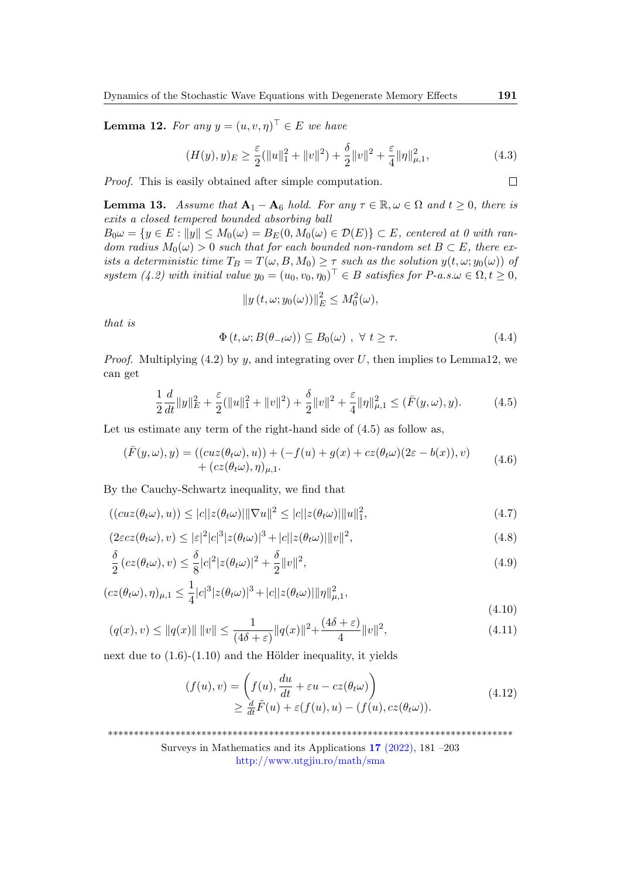**Lemma 12.** For any  $y = (u, v, \eta)^\top \in E$  we have

$$
(H(y), y)_E \ge \frac{\varepsilon}{2} (\|u\|_1^2 + \|v\|^2) + \frac{\delta}{2} \|v\|^2 + \frac{\varepsilon}{4} \|\eta\|_{\mu,1}^2, \tag{4.3}
$$

Proof. This is easily obtained after simple computation.

**Lemma 13.** Assume that  $A_1 - A_6$  hold. For any  $\tau \in \mathbb{R}, \omega \in \Omega$  and  $t \geq 0$ , there is exits a closed tempered bounded absorbing ball

 $B_0 \omega = \{y \in E : ||y|| \leq M_0(\omega) = B_E(0, M_0(\omega) \in \mathcal{D}(E)\}\subset E$ , centered at 0 with random radius  $M_0(\omega) > 0$  such that for each bounded non-random set  $B \subset E$ , there exists a deterministic time  $T_B = T(\omega, B, M_0) \geq \tau$  such as the solution  $y(t, \omega; y_0(\omega))$  of system (4.2) with initial value  $y_0 = (u_0, v_0, \eta_0)^\top \in B$  satisfies for  $P$ -a.s. $\omega \in \Omega, t \ge 0$ ,

$$
||y(t,\omega;y_0(\omega))||_E^2 \leq M_0^2(\omega),
$$

that is

$$
\Phi(t,\omega;B(\theta_{-t}\omega)) \subseteq B_0(\omega) , \forall t \ge \tau.
$$
\n(4.4)

*Proof.* Multiplying (4.2) by y, and integrating over U, then implies to Lemma12, we can get

$$
\frac{1}{2}\frac{d}{dt}\|y\|_{E}^{2} + \frac{\varepsilon}{2}(\|u\|_{1}^{2} + \|v\|^{2}) + \frac{\delta}{2}\|v\|^{2} + \frac{\varepsilon}{4}\|\eta\|_{\mu,1}^{2} \leq (\bar{F}(y,\omega),y). \tag{4.5}
$$

Let us estimate any term of the right-hand side of  $(4.5)$  as follow as,

$$
(\bar{F}(y,\omega),y) = ((cuz(\theta_t\omega),u)) + (-f(u) + g(x) + cz(\theta_t\omega)(2\varepsilon - b(x)),v) + (cz(\theta_t\omega),\eta)_{\mu,1}.
$$
\n(4.6)

By the Cauchy-Schwartz inequality, we find that

$$
((cuz(\theta_t\omega),u)) \leq |c||z(\theta_t\omega)||\nabla u||^2 \leq |c||z(\theta_t\omega)||u||_1^2,
$$
\n(4.7)

$$
(2\varepsilon c z(\theta_t \omega), v) \le |\varepsilon|^2 |c|^3 |z(\theta_t \omega)|^3 + |c||z(\theta_t \omega)||v||^2,
$$
\n(4.8)

$$
\frac{\delta}{2} \left( cz(\theta_t \omega), v \right) \le \frac{\delta}{8} |c|^2 |z(\theta_t \omega)|^2 + \frac{\delta}{2} ||v||^2,\tag{4.9}
$$

$$
(cz(\theta_t\omega),\eta)_{\mu,1}\leq \frac{1}{4}|c|^3|z(\theta_t\omega)|^3+|c||z(\theta_t\omega)||\eta||_{\mu,1}^2,
$$

$$
(q(x), v) \le ||q(x)|| \, ||v|| \le \frac{1}{(4\delta + \varepsilon)} ||q(x)||^2 + \frac{(4\delta + \varepsilon)}{4} ||v||^2,
$$
\n(4.10)

next due to  $(1.6)-(1.10)$  and the Hölder inequality, it yields

$$
(f(u), v) = \left( f(u), \frac{du}{dt} + \varepsilon u - cz(\theta_t \omega) \right)
$$
  
\n
$$
\geq \frac{d}{dt} \tilde{F}(u) + \varepsilon (f(u), u) - (f(u), cz(\theta_t \omega)).
$$
\n(4.12)

\*\*\*\*\*\*\*\*\*\*\*\*\*\*\*\*\*\*\*\*\*\*\*\*\*\*\*\*\*\*\*\*\*\*\*\*\*\*\*\*\*\*\*\*\*\*\*\*\*\*\*\*\*\*\*\*\*\*\*\*\*\*\*\*\*\*\*\*\*\*\*\*\*\*\*\*\*\*

Surveys in Mathematics and its Applications 17 [\(2022\),](http://www.utgjiu.ro/math/sma/v17/v17.html) 181 –203

 $\Box$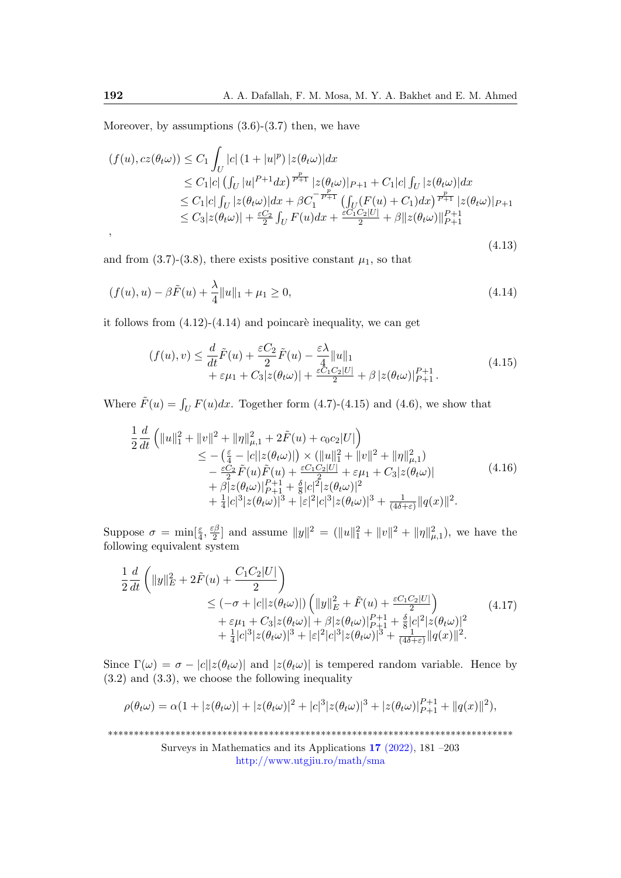Moreover, by assumptions  $(3.6)-(3.7)$  then, we have

$$
(f(u), cz(\theta_t \omega)) \le C_1 \int_U |c| (1+|u|^p) |z(\theta_t \omega)| dx
$$
  
\n
$$
\le C_1 |c| \left( \int_U |u|^{P+1} dx \right)^{\frac{p}{P+1}} |z(\theta_t \omega)|_{P+1} + C_1 |c| \int_U |z(\theta_t \omega)| dx
$$
  
\n
$$
\le C_1 |c| \int_U |z(\theta_t \omega)| dx + \beta C_1^{-\frac{p}{P+1}} \left( \int_U (F(u) + C_1) dx \right)^{\frac{p}{P+1}} |z(\theta_t \omega)|_{P+1}
$$
  
\n
$$
\le C_3 |z(\theta_t \omega)| + \frac{\varepsilon C_2}{2} \int_U F(u) dx + \frac{\varepsilon C_1 C_2 |U|}{2} + \beta ||z(\theta_t \omega)||_{P+1}^{P+1}
$$
  
\n(4.13)

and from  $(3.7)-(3.8)$ , there exists positive constant  $\mu_1$ , so that

$$
(f(u), u) - \beta \tilde{F}(u) + \frac{\lambda}{4} ||u||_1 + \mu_1 \ge 0,
$$
\n(4.14)

it follows from  $(4.12)-(4.14)$  and poincaré inequality, we can get

$$
(f(u), v) \leq \frac{d}{dt}\tilde{F}(u) + \frac{\varepsilon C_2}{2}\tilde{F}(u) - \frac{\varepsilon \lambda}{4}||u||_1
$$
  
+  $\varepsilon \mu_1 + C_3|z(\theta_t \omega)| + \frac{\varepsilon C_1 C_2 |U|}{2} + \beta |z(\theta_t \omega)|_{P+1}^{P+1}.$  (4.15)

Where  $\tilde{F}(u) = \int_U F(u)dx$ . Together form (4.7)-(4.15) and (4.6), we show that

$$
\frac{1}{2}\frac{d}{dt}\left(\|u\|_{1}^{2} + \|v\|^{2} + \|\eta\|_{\mu,1}^{2} + 2\tilde{F}(u) + c_{0}c_{2}|U|\right) \n\leq -\left(\frac{\varepsilon}{4} - |c||z(\theta_{t}\omega)|\right) \times \left(\|u\|_{1}^{2} + \|v\|^{2} + \|\eta\|_{\mu,1}^{2}\right) \n- \frac{\varepsilon C_{2}}{2}\tilde{F}(u)\tilde{F}(u) + \frac{\varepsilon C_{1}C_{2}|U|}{2} + \varepsilon\mu_{1} + C_{3}|z(\theta_{t}\omega)| \n+ \beta|z(\theta_{t}\omega)|_{P+1}^{P+1} + \frac{\delta}{8}|c|^{2}|z(\theta_{t}\omega)|^{2} \n+ \frac{1}{4}|c|^{3}|z(\theta_{t}\omega)|^{3} + |\varepsilon|^{2}|c|^{3}|z(\theta_{t}\omega)|^{3} + \frac{1}{(4\delta + \varepsilon)}\|q(x)\|^{2}.
$$
\n(4.16)

Suppose  $\sigma = \min[\frac{\varepsilon}{4}, \frac{\varepsilon \beta}{2}]$  $\frac{1}{2}$  and assume  $||y||^2 = (||u||_1^2 + ||v||^2 + ||\eta||_{\mu,1}^2)$ , we have the following equivalent system

$$
\frac{1}{2}\frac{d}{dt}\left(\|y\|_{E}^{2} + 2\tilde{F}(u) + \frac{C_{1}C_{2}|U|}{2}\right) \n\leq (-\sigma + |c||z(\theta_{t}\omega)|)\left(\|y\|_{E}^{2} + \tilde{F}(u) + \frac{\varepsilon C_{1}C_{2}|U|}{2}\right) \n+ \varepsilon\mu_{1} + C_{3}|z(\theta_{t}\omega)| + \beta|z(\theta_{t}\omega)|_{P+1}^{P+1} + \frac{\delta}{8}|c|^{2}|z(\theta_{t}\omega)|^{2} \n+ \frac{1}{4}|c|^{3}|z(\theta_{t}\omega)|^{3} + |\varepsilon|^{2}|c|^{3}|z(\theta_{t}\omega)|^{3} + \frac{1}{(4\delta + \varepsilon)}\|q(x)\|^{2}.
$$
\n(4.17)

Since  $\Gamma(\omega) = \sigma - |c||z(\theta_t\omega)|$  and  $|z(\theta_t\omega)|$  is tempered random variable. Hence by (3.2) and (3.3), we choose the following inequality

$$
\rho(\theta_t \omega) = \alpha (1 + |z(\theta_t \omega)| + |z(\theta_t \omega)|^2 + |c|^3 |z(\theta_t \omega)|^3 + |z(\theta_t \omega)|_{P+1}^{P+1} + ||q(x)||^2),
$$

\*\*\*\*\*\*\*\*\*\*\*\*\*\*\*\*\*\*\*\*\*\*\*\*\*\*\*\*\*\*\*\*\*\*\*\*\*\*\*\*\*\*\*\*\*\*\*\*\*\*\*\*\*\*\*\*\*\*\*\*\*\*\*\*\*\*\*\*\*\*\*\*\*\*\*\*\*\*

Surveys in Mathematics and its Applications 17 [\(2022\),](http://www.utgjiu.ro/math/sma/v17/v17.html) 181 –203 <http://www.utgjiu.ro/math/sma>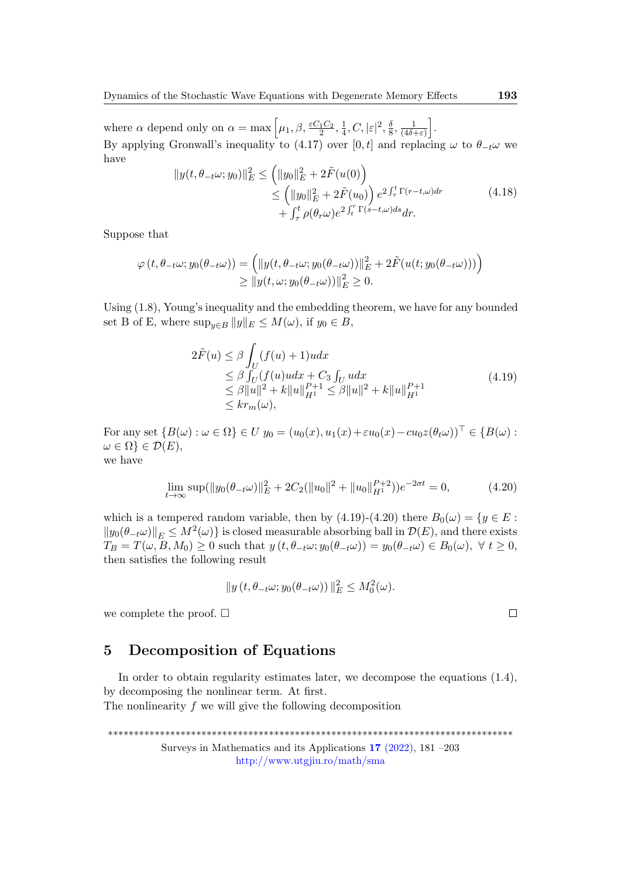where  $\alpha$  depend only on  $\alpha = \max\left[\mu_1, \beta, \frac{\varepsilon C_1 C_2}{2}, \frac{1}{4}\right]$  $\frac{1}{4},C,|\varepsilon|^2,\frac{\delta}{8}$  $\frac{\delta}{8}, \frac{1}{(4\delta -}$  $\frac{1}{(4\delta+\varepsilon)}\bigg].$ By applying Gronwall's inequality to (4.17) over [0, t] and replacing  $\omega$  to  $\theta_{-t}\omega$  we have

$$
||y(t, \theta_{-t}\omega; y_0)||_E^2 \le (||y_0||_E^2 + 2\tilde{F}(u(0)))
$$
  
\n
$$
\le (||y_0||_E^2 + 2\tilde{F}(u_0)) e^{2\int_{\tau}^t \Gamma(r-t,\omega)dr}
$$
  
\n
$$
+ \int_{\tau}^t \rho(\theta_r \omega) e^{2\int_t^r \Gamma(s-t,\omega)ds} dr.
$$
\n(4.18)

Suppose that

$$
\varphi(t, \theta_{-t}\omega; y_0(\theta_{-t}\omega)) = \left( \|y(t, \theta_{-t}\omega; y_0(\theta_{-t}\omega))\|_E^2 + 2\tilde{F}(u(t; y_0(\theta_{-t}\omega))) \right) \ge \|y(t, \omega; y_0(\theta_{-t}\omega))\|_E^2 \ge 0.
$$

Using (1.8), Young's inequality and the embedding theorem, we have for any bounded set B of E, where  $\sup_{y\in B} ||y||_E \leq M(\omega)$ , if  $y_0 \in B$ ,

$$
2\tilde{F}(u) \leq \beta \int_{U} (f(u) + 1)u dx
$$
  
\n
$$
\leq \beta \int_{U} (f(u)u dx + C_3 \int_{U} u dx
$$
  
\n
$$
\leq \beta ||u||^{2} + k ||u||_{H^{1}}^{P+1} \leq \beta ||u||^{2} + k ||u||_{H^{1}}^{P+1}
$$
  
\n
$$
\leq kr_{m}(\omega),
$$
\n(4.19)

For any set  $\{B(\omega): \omega \in \Omega\} \in U$   $y_0 = (u_0(x), u_1(x) + \varepsilon u_0(x) - cu_0z(\theta_t\omega))^{\top} \in \{B(\omega):$  $\omega \in \Omega$  }  $\in \mathcal{D}(E)$ , we have

$$
\lim_{t \to \infty} \sup (\|y_0(\theta_{-t}\omega)\|_E^2 + 2C_2(\|u_0\|^2 + \|u_0\|_{H^1}^{P+2}))e^{-2\sigma t} = 0,
$$
\n(4.20)

which is a tempered random variable, then by (4.19)-(4.20) there  $B_0(\omega) = \{y \in E :$  $||y_0(\theta_{-t}\omega)||_E \leq M^2(\omega)$  is closed measurable absorbing ball in  $\mathcal{D}(E)$ , and there exists  $T_B = T(\omega, B, M_0) \geq 0$  such that  $y(t, \theta_{-t}\omega; y_0(\theta_{-t}\omega)) = y_0(\theta_{-t}\omega) \in B_0(\omega), \ \forall t \geq 0$ , then satisfies the following result

$$
||y(t, \theta_{-t}\omega; y_0(\theta_{-t}\omega))||_E^2 \leq M_0^2(\omega).
$$

we complete the proof.  $\square$ 

### 5 Decomposition of Equations

In order to obtain regularity estimates later, we decompose the equations (1.4), by decomposing the nonlinear term. At first. The nonlinearity f we will give the following decomposition

\*\*\*\*\*\*\*\*\*\*\*\*\*\*\*\*\*\*\*\*\*\*\*\*\*\*\*\*\*\*\*\*\*\*\*\*\*\*\*\*\*\*\*\*\*\*\*\*\*\*\*\*\*\*\*\*\*\*\*\*\*\*\*\*\*\*\*\*\*\*\*\*\*\*\*\*\*\* Surveys in Mathematics and its Applications 17 [\(2022\),](http://www.utgjiu.ro/math/sma/v17/v17.html) 181 –203 <http://www.utgjiu.ro/math/sma>

$$
\Box
$$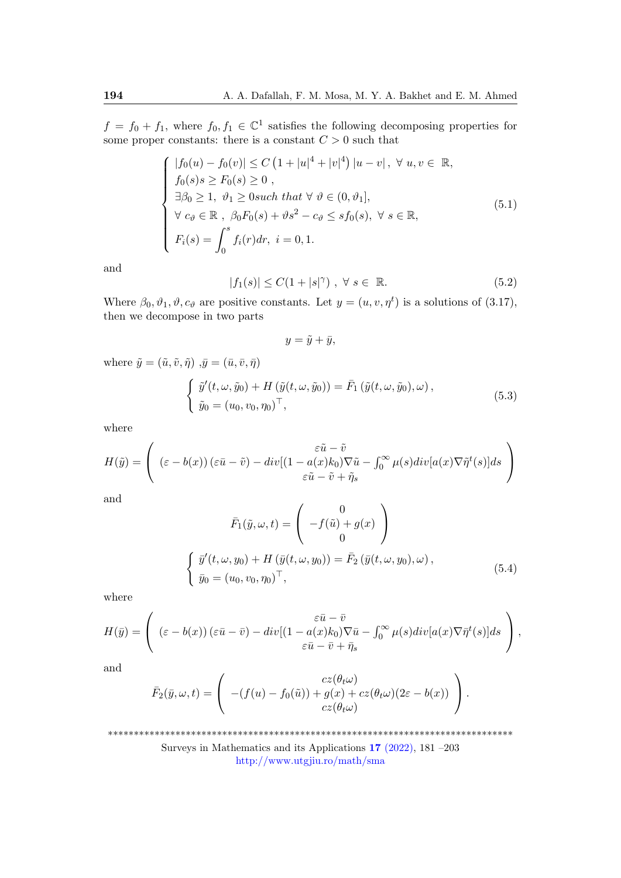$f = f_0 + f_1$ , where  $f_0, f_1 \in \mathbb{C}^1$  satisfies the following decomposing properties for some proper constants: there is a constant  $C > 0$  such that

$$
\begin{cases}\n|f_0(u) - f_0(v)| \le C \left(1 + |u|^4 + |v|^4\right) |u - v|, \forall u, v \in \mathbb{R}, \\
f_0(s)s \ge F_0(s) \ge 0, \\
\exists \beta_0 \ge 1, \ \theta_1 \ge 0 \text{ such that } \forall \ \theta \in (0, \theta_1], \\
\forall c_\theta \in \mathbb{R}, \ \beta_0 F_0(s) + \vartheta s^2 - c_\theta \le sf_0(s), \ \forall s \in \mathbb{R}, \\
F_i(s) = \int_0^s f_i(r) dr, \ i = 0, 1.\n\end{cases} \tag{5.1}
$$

and

$$
|f_1(s)| \le C(1+|s|^\gamma) , \ \forall \ s \in \mathbb{R}.
$$

Where  $\beta_0, \vartheta_1, \vartheta, c_{\vartheta}$  are positive constants. Let  $y = (u, v, \eta^t)$  is a solutions of (3.17), then we decompose in two parts

$$
y = \tilde{y} + \bar{y},
$$

where  $\tilde{y} = (\tilde{u}, \tilde{v}, \tilde{\eta}) \overline{y} = (\bar{u}, \bar{v}, \bar{\eta})$ 

$$
\begin{cases}\n\tilde{y}'(t,\omega,\tilde{y}_0) + H(\tilde{y}(t,\omega,\tilde{y}_0)) = \bar{F}_1(\tilde{y}(t,\omega,\tilde{y}_0),\omega), \\
\tilde{y}_0 = (u_0,v_0,\eta_0)^\top,\n\end{cases}
$$
\n(5.3)

where

$$
H(\tilde{y}) = \begin{pmatrix} \varepsilon \tilde{u} - \tilde{v} \\ (\varepsilon - b(x)) (\varepsilon \bar{u} - \tilde{v}) - div[(1 - a(x)k_0)\nabla \tilde{u} - \int_0^\infty \mu(s)div[a(x)\nabla \tilde{\eta}^t(s)]ds \\ \varepsilon \tilde{u} - \tilde{v} + \tilde{\eta}_s \end{pmatrix}
$$

and

$$
\bar{F}_1(\tilde{y}, \omega, t) = \begin{pmatrix} 0 \\ -f(\tilde{u}) + g(x) \\ 0 \end{pmatrix}
$$
  

$$
\begin{cases} \tilde{y}'(t, \omega, y_0) + H(\bar{y}(t, \omega, y_0)) = \bar{F}_2(\bar{y}(t, \omega, y_0), \omega), \\ \tilde{y}_0 = (u_0, v_0, \eta_0)^\top, \end{cases}
$$
(5.4)

where

$$
H(\bar{y}) = \begin{pmatrix} \varepsilon \bar{u} - \bar{v} \\ (\varepsilon - b(x)) (\varepsilon \bar{u} - \bar{v}) - div[(1 - a(x)k_0)\nabla \bar{u} - \int_0^\infty \mu(s)div[a(x)\nabla \bar{\eta}^t(s)]ds \\ \varepsilon \bar{u} - \bar{v} + \bar{\eta}_s \end{pmatrix},
$$

and

$$
\bar{F}_2(\bar{y}, \omega, t) = \begin{pmatrix} cz(\theta_t \omega) \\ -(f(u) - f_0(\tilde{u})) + g(x) + cz(\theta_t \omega) (2\varepsilon - b(x)) \\ cz(\theta_t \omega) \end{pmatrix}.
$$

\*\*\*\*\*\*\*\*\*\*\*\*\*\*\*\*\*\*\*\*\*\*\*\*\*\*\*\*\*\*\*\*\*\*\*\*\*\*\*\*\*\*\*\*\*\*\*\*\*\*\*\*\*\*\*\*\*\*\*\*\*\*\*\*\*\*\*\*\*\*\*\*\*\*\*\*\*\*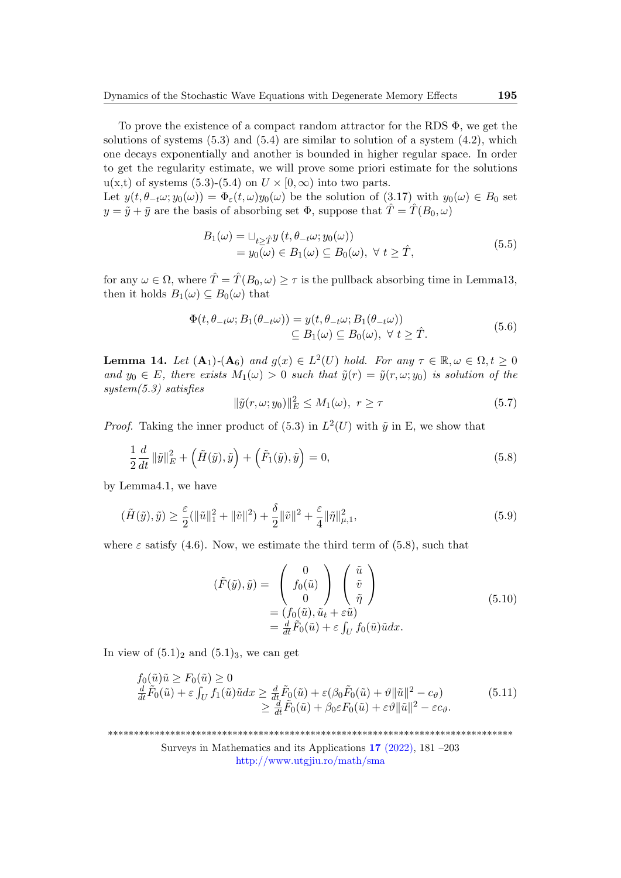To prove the existence of a compact random attractor for the RDS Φ, we get the solutions of systems  $(5.3)$  and  $(5.4)$  are similar to solution of a system  $(4.2)$ , which one decays exponentially and another is bounded in higher regular space. In order to get the regularity estimate, we will prove some priori estimate for the solutions  $u(x,t)$  of systems (5.3)-(5.4) on  $U \times [0,\infty)$  into two parts.

Let  $y(t, \theta_{-t}\omega; y_0(\omega)) = \Phi_{\varepsilon}(t, \omega)y_0(\omega)$  be the solution of (3.17) with  $y_0(\omega) \in B_0$  set  $y = \tilde{y} + \bar{y}$  are the basis of absorbing set  $\Phi$ , suppose that  $\hat{T} = \hat{T}(B_0, \omega)$ 

$$
B_1(\omega) = \sqcup_{t \ge \hat{T}} y(t, \theta_{-t}\omega; y_0(\omega))
$$
  
=  $y_0(\omega) \in B_1(\omega) \subseteq B_0(\omega), \ \forall \ t \ge \hat{T},$  (5.5)

for any  $\omega \in \Omega$ , where  $\hat{T} = \hat{T}(B_0, \omega) > \tau$  is the pullback absorbing time in Lemma13, then it holds  $B_1(\omega) \subseteq B_0(\omega)$  that

$$
\Phi(t, \theta_{-t}\omega; B_1(\theta_{-t}\omega)) = y(t, \theta_{-t}\omega; B_1(\theta_{-t}\omega))
$$
  
\n
$$
\subseteq B_1(\omega) \subseteq B_0(\omega), \forall t \ge \hat{T}.
$$
\n(5.6)

**Lemma 14.** Let  $(A_1)$ - $(A_6)$  and  $g(x) \in L^2(U)$  hold. For any  $\tau \in \mathbb{R}, \omega \in \Omega, t \geq 0$ and  $y_0 \in E$ , there exists  $M_1(\omega) > 0$  such that  $\tilde{y}(r) = \tilde{y}(r, \omega; y_0)$  is solution of the system(5.3) satisfies

$$
\|\tilde{y}(r,\omega;y_0)\|_E^2 \le M_1(\omega), \ r \ge \tau \tag{5.7}
$$

*Proof.* Taking the inner product of (5.3) in  $L^2(U)$  with  $\tilde{y}$  in E, we show that

$$
\frac{1}{2}\frac{d}{dt}\left\|\tilde{y}\right\|_{E}^{2}+\left(\tilde{H}(\tilde{y}),\tilde{y}\right)+\left(\tilde{F}_{1}(\tilde{y}),\tilde{y}\right)=0,
$$
\n(5.8)

by Lemma4.1, we have

$$
(\tilde{H}(\tilde{y}), \tilde{y}) \ge \frac{\varepsilon}{2} (\|\tilde{u}\|_{1}^{2} + \|\tilde{v}\|^{2}) + \frac{\delta}{2} \|\tilde{v}\|^{2} + \frac{\varepsilon}{4} \|\tilde{\eta}\|_{\mu,1}^{2},
$$
\n(5.9)

where  $\varepsilon$  satisfy (4.6). Now, we estimate the third term of (5.8), such that

$$
(\tilde{F}(\tilde{y}), \tilde{y}) = \begin{pmatrix} 0 \\ f_0(\tilde{u}) \\ 0 \end{pmatrix} \begin{pmatrix} \tilde{u} \\ \tilde{v} \\ \tilde{\eta} \end{pmatrix}
$$
  
=  $(f_0(\tilde{u}), \tilde{u}_t + \varepsilon \tilde{u})$   
=  $\frac{d}{dt} \tilde{F}_0(\tilde{u}) + \varepsilon \int_U f_0(\tilde{u}) \tilde{u} dx.$  (5.10)

In view of  $(5.1)<sub>2</sub>$  and  $(5.1)<sub>3</sub>$ , we can get

$$
f_0(\tilde{u})\tilde{u} \ge F_0(\tilde{u}) \ge 0
$$
  
\n
$$
\frac{d}{dt}\tilde{F}_0(\tilde{u}) + \varepsilon \int_U f_1(\tilde{u})\tilde{u}dx \ge \frac{d}{dt}\tilde{F}_0(\tilde{u}) + \varepsilon(\beta_0\tilde{F}_0(\tilde{u}) + \vartheta \|\tilde{u}\|^2 - c_{\vartheta})
$$
  
\n
$$
\ge \frac{d}{dt}\tilde{F}_0(\tilde{u}) + \beta_0 \varepsilon F_0(\tilde{u}) + \varepsilon \vartheta \|\tilde{u}\|^2 - \varepsilon c_{\vartheta}.
$$
\n(5.11)

\*\*\*\*\*\*\*\*\*\*\*\*\*\*\*\*\*\*\*\*\*\*\*\*\*\*\*\*\*\*\*\*\*\*\*\*\*\*\*\*\*\*\*\*\*\*\*\*\*\*\*\*\*\*\*\*\*\*\*\*\*\*\*\*\*\*\*\*\*\*\*\*\*\*\*\*\*\*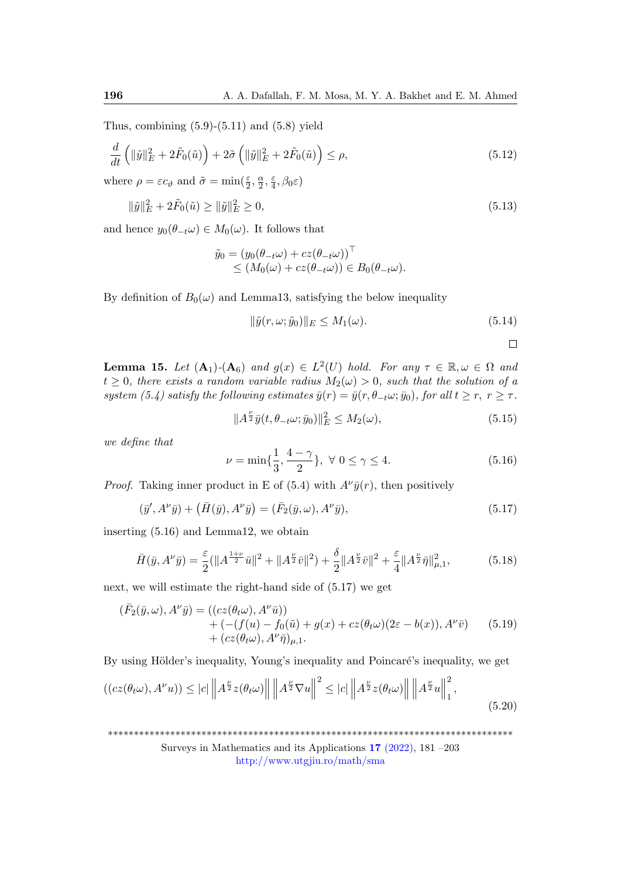Thus, combining  $(5.9)-(5.11)$  and  $(5.8)$  yield

$$
\frac{d}{dt}\left(\|\tilde{y}\|_{E}^{2}+2\tilde{F}_{0}(\tilde{u})\right)+2\tilde{\sigma}\left(\|\tilde{y}\|_{E}^{2}+2\tilde{F}_{0}(\tilde{u})\right)\leq\rho,
$$
\n(5.12)

where  $\rho = \varepsilon c_{\vartheta}$  and  $\tilde{\sigma} = \min(\frac{\varepsilon}{2}, \frac{\alpha}{2})$  $\frac{\alpha}{2}, \frac{\varepsilon}{4}$  $\frac{\varepsilon}{4}, \beta_0 \varepsilon$ 

$$
\|\tilde{y}\|_{E}^{2} + 2\tilde{F}_{0}(\tilde{u}) \ge \|\tilde{y}\|_{E}^{2} \ge 0,
$$
\n(5.13)

and hence  $y_0(\theta_{-t}\omega) \in M_0(\omega)$ . It follows that

$$
\tilde{y}_0 = (y_0(\theta_{-t}\omega) + cz(\theta_{-t}\omega))^\top \le (M_0(\omega) + cz(\theta_{-t}\omega)) \in B_0(\theta_{-t}\omega).
$$

By definition of  $B_0(\omega)$  and Lemma13, satisfying the below inequality

$$
\|\tilde{y}(r,\omega;\tilde{y}_0)\|_E \le M_1(\omega). \tag{5.14}
$$

 $\Box$ 

**Lemma 15.** Let  $(A_1)$ - $(A_6)$  and  $g(x) \in L^2(U)$  hold. For any  $\tau \in \mathbb{R}, \omega \in \Omega$  and  $t \geq 0$ , there exists a random variable radius  $M_2(\omega) > 0$ , such that the solution of a system (5.4) satisfy the following estimates  $\bar{y}(r) = \bar{y}(r, \theta_{-t}\omega; \bar{y}_0)$ , for all  $t \geq r$ ,  $r \geq \tau$ .

$$
||A^{\frac{\nu}{2}}\bar{y}(t,\theta_{-t}\omega;\bar{y}_0)||_E^2 \le M_2(\omega), \tag{5.15}
$$

we define that

$$
\nu = \min\{\frac{1}{3}, \frac{4-\gamma}{2}\}, \ \forall \ 0 \le \gamma \le 4. \tag{5.16}
$$

*Proof.* Taking inner product in E of (5.4) with  $A^{\nu}\bar{y}(r)$ , then positively

$$
(\bar{y}', A^{\nu}\bar{y}) + (\bar{H}(\bar{y}), A^{\nu}\bar{y}) = (\bar{F}_2(\bar{y}, \omega), A^{\nu}\bar{y}), \qquad (5.17)
$$

inserting (5.16) and Lemma12, we obtain

$$
\bar{H}(\bar{y}, A^{\nu}\bar{y}) = \frac{\varepsilon}{2} (\|A^{\frac{1+\nu}{2}}\bar{u}\|^2 + \|A^{\frac{\nu}{2}}\bar{v}\|^2) + \frac{\delta}{2} \|A^{\frac{\nu}{2}}\bar{v}\|^2 + \frac{\varepsilon}{4} \|A^{\frac{\nu}{2}}\bar{\eta}\|^2_{\mu,1},
$$
(5.18)

next, we will estimate the right-hand side of (5.17) we get

$$
(\bar{F}_2(\bar{y}, \omega), A^{\nu}\bar{y}) = ((cz(\theta_t\omega), A^{\nu}\bar{u})) + (-(f(u) - f_0(\tilde{u}) + g(x) + cz(\theta_t\omega)(2\varepsilon - b(x)), A^{\nu}\bar{v}) + (cz(\theta_t\omega), A^{\nu}\bar{\eta})_{\mu,1}.
$$
 (5.19)

By using Hölder's inequality, Young's inequality and Poincaré's inequality, we get

$$
((cz(\theta_t\omega), A^\nu u)) \le |c| \left\| A^{\frac{\nu}{2}} z(\theta_t\omega) \right\| \left\| A^{\frac{\nu}{2}} \nabla u \right\|^2 \le |c| \left\| A^{\frac{\nu}{2}} z(\theta_t\omega) \right\| \left\| A^{\frac{\nu}{2}} u \right\|_1^2,
$$
\n(5.20)

\*\*\*\*\*\*\*\*\*\*\*\*\*\*\*\*\*\*\*\*\*\*\*\*\*\*\*\*\*\*\*\*\*\*\*\*\*\*\*\*\*\*\*\*\*\*\*\*\*\*\*\*\*\*\*\*\*\*\*\*\*\*\*\*\*\*\*\*\*\*\*\*\*\*\*\*\*\*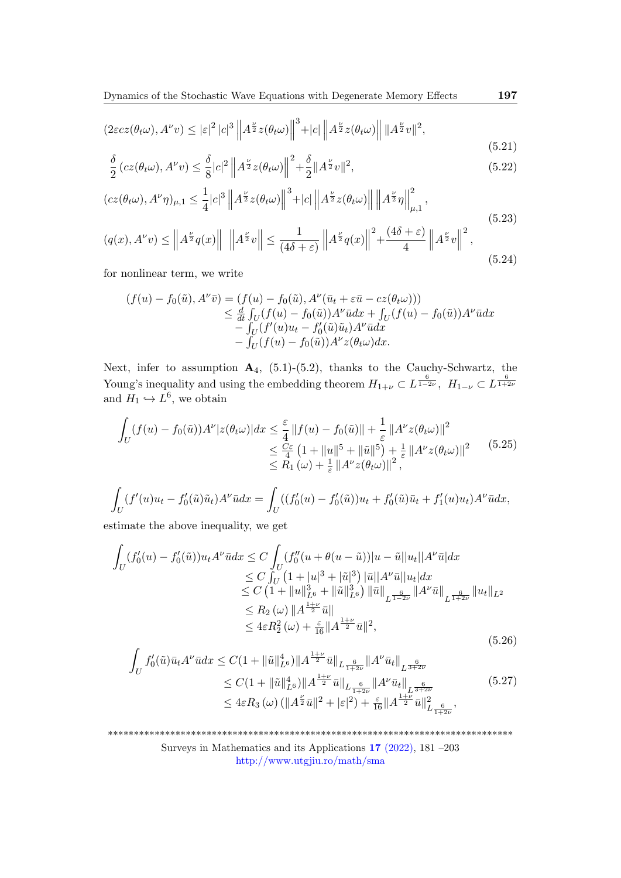$$
(2\varepsilon cz(\theta_t\omega), A^\nu v) \leq |\varepsilon|^2 |c|^3 \|A^{\frac{\nu}{2}} z(\theta_t\omega)\|^3 + |c| \|A^{\frac{\nu}{2}} z(\theta_t\omega)\| \|A^{\frac{\nu}{2}} v\|^2,
$$

$$
\frac{\delta}{2} \left( cz(\theta_t \omega), A^\nu v \right) \le \frac{\delta}{8} |c|^2 \left\| A^{\frac{\nu}{2}} z(\theta_t \omega) \right\|^2 + \frac{\delta}{2} \| A^{\frac{\nu}{2}} v \|^2,\tag{5.22}
$$

$$
(cz(\theta_t\omega), A^{\nu}\eta)_{\mu,1} \le \frac{1}{4}|c|^3 \left\|A^{\frac{\nu}{2}}z(\theta_t\omega)\right\|^3 + |c| \left\|A^{\frac{\nu}{2}}z(\theta_t\omega)\right\| \left\|A^{\frac{\nu}{2}}\eta\right\|_{\mu,1}^2,
$$
\n
$$
(5.23)
$$

$$
(q(x), A^{\nu}v) \leq \left\| A^{\frac{\nu}{2}} q(x) \right\| \left\| A^{\frac{\nu}{2}} v \right\| \leq \frac{1}{(4\delta + \varepsilon)} \left\| A^{\frac{\nu}{2}} q(x) \right\|^2 + \frac{(4\delta + \varepsilon)}{4} \left\| A^{\frac{\nu}{2}} v \right\|^2,
$$
\n(5.24)

for nonlinear term, we write

$$
(f(u) - f_0(\tilde{u}), A^{\nu}\bar{v}) = (f(u) - f_0(\tilde{u}), A^{\nu}(\bar{u}_t + \varepsilon \bar{u} - cz(\theta_t \omega)))
$$
  
\n
$$
\leq \frac{d}{dt} \int_U (f(u) - f_0(\tilde{u})) A^{\nu} \bar{u} dx + \int_U (f(u) - f_0(\tilde{u})) A^{\nu} \bar{u} dx
$$
  
\n
$$
- \int_U (f'(u)u_t - f'_0(\tilde{u})\tilde{u}_t) A^{\nu} \bar{u} dx
$$
  
\n
$$
- \int_U (f(u) - f_0(\tilde{u})) A^{\nu} z(\theta_t \omega) dx.
$$

Next, infer to assumption  $A_4$ , (5.1)-(5.2), thanks to the Cauchy-Schwartz, the Young's inequality and using the embedding theorem  $H_{1+\nu} \subset L^{\frac{6}{1-2\nu}}, H_{1-\nu} \subset L^{\frac{6}{1+2\nu}}$ and  $H_1 \hookrightarrow L^6$ , we obtain

$$
\int_{U} (f(u) - f_0(\tilde{u})) A^{\nu} |z(\theta_t \omega)| dx \leq \frac{\varepsilon}{4} ||f(u) - f_0(\tilde{u})|| + \frac{1}{\varepsilon} ||A^{\nu} z(\theta_t \omega)||^2
$$
  
\n
$$
\leq \frac{C\varepsilon}{4} (1 + ||u||^5 + ||\tilde{u}||^5) + \frac{1}{\varepsilon} ||A^{\nu} z(\theta_t \omega)||^2
$$
  
\n
$$
\leq R_1(\omega) + \frac{1}{\varepsilon} ||A^{\nu} z(\theta_t \omega)||^2,
$$
\n(5.25)

$$
\int_{U} (f'(u)u_{t} - f'_{0}(\tilde{u})\tilde{u}_{t})A^{\nu}\bar{u}dx = \int_{U} ((f'_{0}(u) - f'_{0}(\tilde{u}))u_{t} + f'_{0}(\tilde{u})\bar{u}_{t} + f'_{1}(u)u_{t})A^{\nu}\bar{u}dx,
$$

estimate the above inequality, we get

$$
\int_{U} (f'_{0}(u) - f'_{0}(\tilde{u}))u_{t}A^{\nu}\bar{u}dx \leq C \int_{U} (f''_{0}(u + \theta(u - \tilde{u}))|u - \tilde{u}||u_{t}||A^{\nu}\bar{u}|dx
$$
\n
$$
\leq C \int_{U} (1 + |u|^{3} + |\tilde{u}|^{3}) |\bar{u}||A^{\nu}\bar{u}||u_{t}|dx
$$
\n
$$
\leq C (1 + ||u||_{L^{6}}^{3} + ||\tilde{u}||_{L^{6}}^{3}) ||\bar{u}||_{L^{\frac{6}{1-2\nu}}} ||A^{\nu}\bar{u}||_{L^{\frac{6}{1+2\nu}}} ||u_{t}||_{L^{2}}
$$
\n
$$
\leq R_{2}(\omega) ||A^{\frac{1+\nu}{2}}\bar{u}||
$$
\n
$$
\leq 4\varepsilon R_{2}^{2}(\omega) + \frac{\varepsilon}{16} ||A^{\frac{1+\nu}{2}}\bar{u}||^{2},
$$
\n(5.26)

$$
\int_{U} f'_{0}(\tilde{u}) \bar{u}_{t} A^{\nu} \bar{u} dx \leq C (1 + \|\tilde{u}\|_{L^{6}}^{4}) \|A^{\frac{1+\nu}{2}} \bar{u}\|_{L^{\frac{6}{1+2\nu}}} \|A^{\nu} \bar{u}_{t}\|_{L^{\frac{6}{3+2\nu}}} \n\leq C (1 + \|\tilde{u}\|_{L^{6}}^{4}) \|A^{\frac{1+\nu}{2}} \bar{u}\|_{L^{\frac{6}{1+2\nu}}} \|A^{\nu} \bar{u}_{t}\|_{L^{\frac{6}{3+2\nu}}}.
$$
\n
$$
\leq 4\varepsilon R_{3}(\omega) (\|A^{\frac{\nu}{2}} \bar{u}\|^{2} + |\varepsilon|^{2}) + \frac{\varepsilon}{16} \|A^{\frac{1+\nu}{2}} \bar{u}\|_{L^{\frac{6}{1+2\nu}}}^{2},
$$
\n(5.27)

\*\*\*\*\*\*\*\*\*\*\*\*\*\*\*\*\*\*\*\*\*\*\*\*\*\*\*\*\*\*\*\*\*\*\*\*\*\*\*\*\*\*\*\*\*\*\*\*\*\*\*\*\*\*\*\*\*\*\*\*\*\*\*\*\*\*\*\*\*\*\*\*\*\*\*\*\*\* Surveys in Mathematics and its Applications 17 [\(2022\),](http://www.utgjiu.ro/math/sma/v17/v17.html) 181 –203

<http://www.utgjiu.ro/math/sma>

(5.21)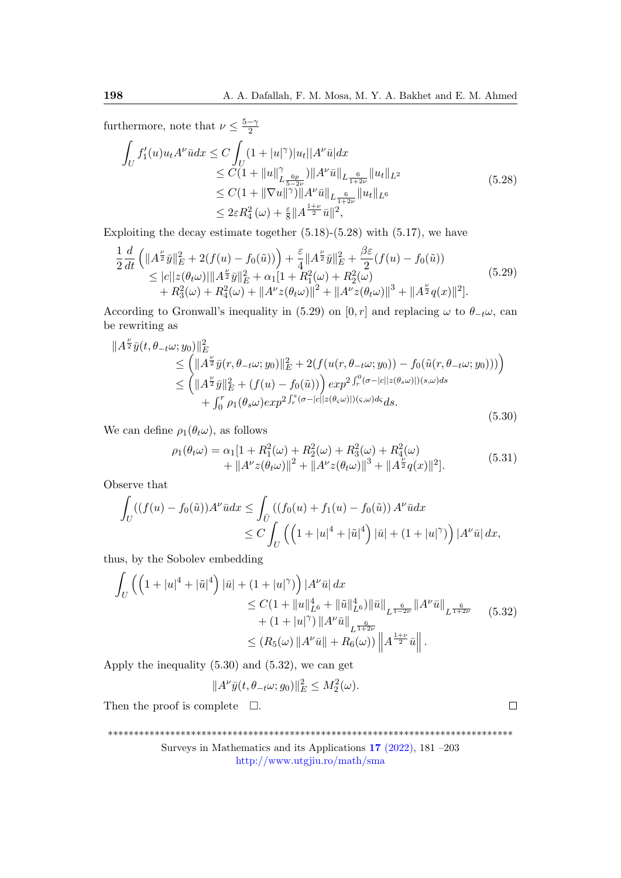furthermore, note that  $\nu \leq \frac{5-\gamma}{2}$ 2

$$
\int_{U} f'_{1}(u)u_{t}A^{\nu}\bar{u}dx \leq C \int_{U} (1+|u|^{\gamma})|u_{t}||A^{\nu}\bar{u}|dx
$$
\n
$$
\leq C(1+||u||^{\gamma}_{L^{\frac{6p}{5-2\nu}}})||A^{\nu}\bar{u}||_{L^{\frac{6}{1+2\nu}}}}||u_{t}||_{L^{2}}\n\\ \leq C(1+||\nabla u||^{\gamma})||A^{\nu}\bar{u}||_{L^{\frac{6}{1+2\nu}}}}||u_{t}||_{L^{6}}\n\\ \leq 2\varepsilon R_{4}^{2}(\omega)+\frac{\varepsilon}{8}||A^{\frac{1+\nu}{2}}\bar{u}||^{2},
$$
\n(5.28)

Exploiting the decay estimate together  $(5.18)-(5.28)$  with  $(5.17)$ , we have

$$
\frac{1}{2}\frac{d}{dt}\left(\|A^{\frac{\nu}{2}}\bar{y}\|_{E}^{2}+2(f(u)-f_{0}(\tilde{u}))\right)+\frac{\varepsilon}{4}\|A^{\frac{\nu}{2}}\bar{y}\|_{E}^{2}+\frac{\beta\varepsilon}{2}(f(u)-f_{0}(\tilde{u}))\leq |c||z(\theta_{t}\omega)|||A^{\frac{\nu}{2}}\bar{y}\|_{E}^{2}+\alpha_{1}[1+R_{1}^{2}(\omega)+R_{2}^{2}(\omega)+R_{3}^{2}(\omega)+R_{4}^{2}(\omega)+\|A^{\nu}z(\theta_{t}\omega)\|^{2}+\|A^{\nu}z(\theta_{t}\omega)\|^{3}+\|A^{\frac{\nu}{2}}q(x)\|^{2}].
$$
\n(5.29)

According to Gronwall's inequality in (5.29) on [0, r] and replacing  $\omega$  to  $\theta_{-t}\omega$ , can be rewriting as

$$
\|A^{\frac{\nu}{2}}\bar{y}(t,\theta_{-t}\omega;y_0)\|_{E}^{2} \leq \left(\|A^{\frac{\nu}{2}}\bar{y}(r,\theta_{-t}\omega;y_0)\|_{E}^{2} + 2(f(u(r,\theta_{-t}\omega;y_0)) - f_0(\tilde{u}(r,\theta_{-t}\omega;y_0)))\right) \leq \left(\|A^{\frac{\nu}{2}}\bar{y}\|_{E}^{2} + (f(u) - f_0(\tilde{u}))\right) exp^{2\int_{r}^{0} (\sigma - |c||z(\theta_{s}\omega)|)(s,\omega)ds} + \int_{0}^{r} \rho_{1}(\theta_{s}\omega) exp^{2\int_{r}^{s} (\sigma - |c||z(\theta_{s}\omega)|)(s,\omega)ds} ds.
$$
\n(5.30)

We can define  $\rho_1(\theta_t \omega)$ , as follows

$$
\rho_1(\theta_t \omega) = \alpha_1 [1 + R_1^2(\omega) + R_2^2(\omega) + R_3^2(\omega) + R_4^2(\omega) + \|A^{\nu} z(\theta_t \omega)\|^2 + \|A^{\nu} z(\theta_t \omega)\|^3 + \|A^{\frac{\nu}{2}} q(x)\|^2].
$$
\n(5.31)

Observe that

$$
\int_{U} ((f(u) - f_0(\tilde{u})) A^{\nu} \bar{u} dx \le \int_{\bar{U}} ((f_0(u) + f_1(u) - f_0(\tilde{u})) A^{\nu} \bar{u} dx
$$
  
 
$$
\le C \int_{U} \left( \left( 1 + |u|^4 + |\tilde{u}|^4 \right) |\bar{u}| + (1 + |u|^{\gamma}) \right) |A^{\nu} \bar{u}| dx,
$$

thus, by the Sobolev embedding

$$
\int_{U} \left( \left( 1 + |u|^{4} + |\tilde{u}|^{4} \right) |\bar{u}| + (1 + |u|^{\gamma}) \right) |A^{\nu} \bar{u}| dx
$$
\n
$$
\leq C \left( 1 + \|u\|_{L^{6}}^{4} + \|\tilde{u}\|_{L^{6}}^{4} \right) \|\bar{u}\|_{L^{\frac{6}{1+2\nu}}} \|A^{\nu} \bar{u}\|_{L^{\frac{6}{1+2\nu}}} \quad (5.32)
$$
\n
$$
+ (1 + |u|^{\gamma}) \|A^{\nu} \bar{u}\|_{L^{\frac{6}{1+2\nu}}} \leq (R_{5}(\omega) \|A^{\nu} \bar{u}\| + R_{6}(\omega)) \|A^{\frac{1+\nu}{2}} \bar{u}\|.
$$

Apply the inequality (5.30) and (5.32), we can get

$$
||A^{\nu}\bar{y}(t,\theta_{-t}\omega;g_0)||_E^2 \le M_2^2(\omega).
$$

Then the proof is complete  $\square$ .

\*\*\*\*\*\*\*\*\*\*\*\*\*\*\*\*\*\*\*\*\*\*\*\*\*\*\*\*\*\*\*\*\*\*\*\*\*\*\*\*\*\*\*\*\*\*\*\*\*\*\*\*\*\*\*\*\*\*\*\*\*\*\*\*\*\*\*\*\*\*\*\*\*\*\*\*\*\*

Surveys in Mathematics and its Applications 17 [\(2022\),](http://www.utgjiu.ro/math/sma/v17/v17.html) 181 –203 <http://www.utgjiu.ro/math/sma>

 $\Box$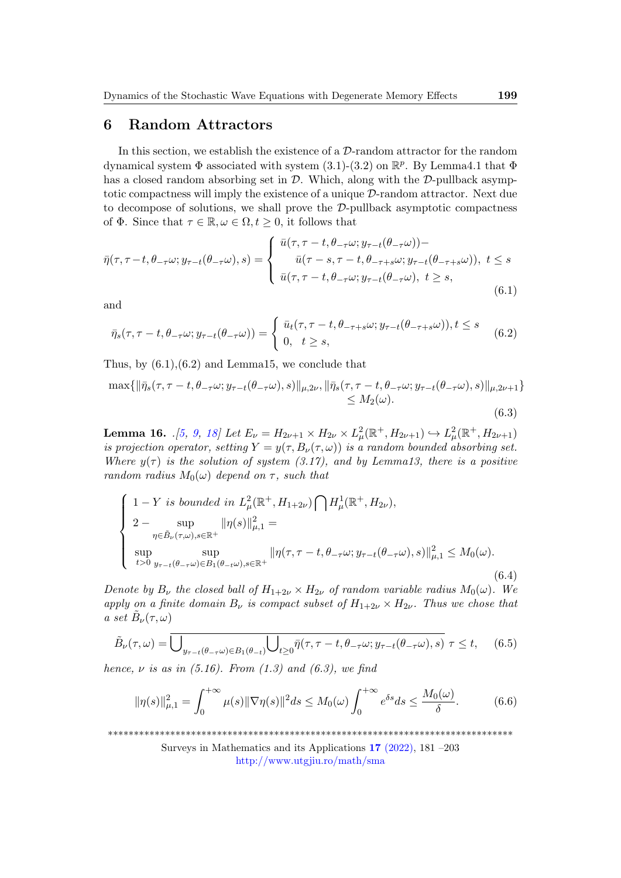### 6 Random Attractors

In this section, we establish the existence of a  $\mathcal{D}$ -random attractor for the random dynamical system  $\Phi$  associated with system (3.1)-(3.2) on  $\mathbb{R}^p$ . By Lemma4.1 that  $\Phi$ has a closed random absorbing set in  $\mathcal{D}$ . Which, along with the  $\mathcal{D}$ -pullback asymptotic compactness will imply the existence of a unique D-random attractor. Next due to decompose of solutions, we shall prove the  $\mathcal{D}\text{-pullback asymptotic compactness}$ of  $\Phi$ . Since that  $\tau \in \mathbb{R}, \omega \in \Omega, t \geq 0$ , it follows that

$$
\bar{\eta}(\tau,\tau-t,\theta_{-\tau}\omega;y_{\tau-t}(\theta_{-\tau}\omega),s) = \begin{cases} \bar{u}(\tau,\tau-t,\theta_{-\tau}\omega;y_{\tau-t}(\theta_{-\tau}\omega)) - \\ \bar{u}(\tau-s,\tau-t,\theta_{-\tau+s}\omega;y_{\tau-t}(\theta_{-\tau+s}\omega)), \ t \le s \\ \bar{u}(\tau,\tau-t,\theta_{-\tau}\omega;y_{\tau-t}(\theta_{-\tau}\omega), \ t \ge s, \end{cases}
$$
(6.1)

and

$$
\bar{\eta}_s(\tau, \tau - t, \theta_{-\tau}\omega; y_{\tau - t}(\theta_{-\tau}\omega)) = \begin{cases} \bar{u}_t(\tau, \tau - t, \theta_{-\tau+s}\omega; y_{\tau-t}(\theta_{-\tau+s}\omega)), t \le s \\ 0, \quad t \ge s, \end{cases}
$$
(6.2)

Thus, by  $(6.1)$ ,  $(6.2)$  and Lemma15, we conclude that

$$
\max\{\|\bar{\eta}_s(\tau,\tau-t,\theta_{-\tau}\omega;y_{\tau-t}(\theta_{-\tau}\omega),s)\|_{\mu,2\nu},\|\bar{\eta}_s(\tau,\tau-t,\theta_{-\tau}\omega;y_{\tau-t}(\theta_{-\tau}\omega),s)\|_{\mu,2\nu+1}\}\n\leq M_2(\omega).
$$
\n(6.3)

**Lemma 16.** (5, [9,](#page-21-11) 18) Let  $E_{\nu} = H_{2\nu+1} \times H_{2\nu} \times L^2_{\mu}(\mathbb{R}^+, H_{2\nu+1}) \hookrightarrow L^2_{\mu}(\mathbb{R}^+, H_{2\nu+1})$ is projection operator, setting  $Y = y(\tau, B_\nu(\tau, \omega))$  is a random bounded absorbing set. Where  $y(\tau)$  is the solution of system (3.17), and by Lemma13, there is a positive random radius  $M_0(\omega)$  depend on  $\tau$ , such that

$$
\begin{cases}\n1 - Y \text{ is bounded in } L^2_{\mu}(\mathbb{R}^+, H_{1+2\nu}) \bigcap H^1_{\mu}(\mathbb{R}^+, H_{2\nu}), \\
2 - \sup_{\eta \in \tilde{B}_{\nu}(\tau, \omega), s \in \mathbb{R}^+} ||\eta(s)||^2_{\mu, 1} = \\
\sup_{t > 0} \sup_{y_{\tau - t}(\theta - \tau \omega) \in B_1(\theta - t\omega), s \in \mathbb{R}^+} ||\eta(\tau, \tau - t, \theta_{-\tau} \omega; y_{\tau - t}(\theta_{-\tau} \omega), s)||^2_{\mu, 1} \leq M_0(\omega). \tag{6.4}\n\end{cases}
$$

Denote by  $B_{\nu}$  the closed ball of  $H_{1+2\nu} \times H_{2\nu}$  of random variable radius  $M_0(\omega)$ . We apply on a finite domain  $B_{\nu}$  is compact subset of  $H_{1+2\nu} \times H_{2\nu}$ . Thus we chose that a set  $\tilde{B}_{\nu}(\tau,\omega)$ 

$$
\tilde{B}_{\nu}(\tau,\omega) = \overline{\bigcup_{y_{\tau-t}(\theta_{-\tau}\omega)\in B_1(\theta_{-t})}\bigcup_{t\geq 0}\overline{\eta}(\tau,\tau-t,\theta_{-\tau}\omega;y_{\tau-t}(\theta_{-\tau}\omega),s)}\,\,\tau\leq t,\qquad(6.5)
$$

hence,  $\nu$  is as in (5.16). From (1.3) and (6.3), we find

$$
\|\eta(s)\|_{\mu,1}^2 = \int_0^{+\infty} \mu(s) \|\nabla \eta(s)\|^2 ds \le M_0(\omega) \int_0^{+\infty} e^{\delta s} ds \le \frac{M_0(\omega)}{\delta}.
$$
 (6.6)

\*\*\*\*\*\*\*\*\*\*\*\*\*\*\*\*\*\*\*\*\*\*\*\*\*\*\*\*\*\*\*\*\*\*\*\*\*\*\*\*\*\*\*\*\*\*\*\*\*\*\*\*\*\*\*\*\*\*\*\*\*\*\*\*\*\*\*\*\*\*\*\*\*\*\*\*\*\*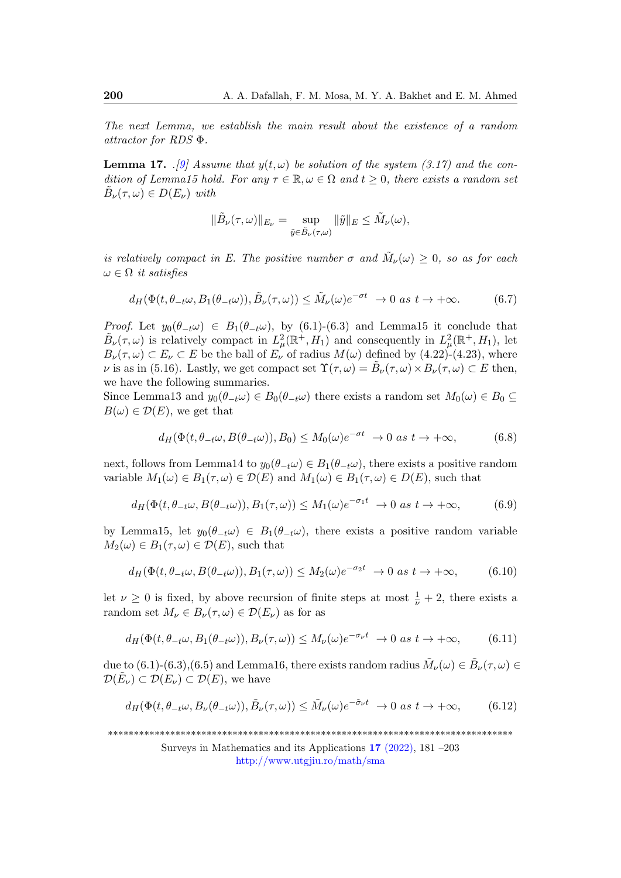The next Lemma, we establish the main result about the existence of a random attractor for RDS Φ.

**Lemma 17.**  $\Box$ [\[9\]](#page-21-11) Assume that  $y(t, \omega)$  be solution of the system (3.17) and the condition of Lemma15 hold. For any  $\tau \in \mathbb{R}, \omega \in \Omega$  and  $t \geq 0$ , there exists a random set  $\tilde{B}_{\nu}(\tau,\omega) \in D(E_{\nu})$  with

$$
\|\tilde{B}_{\nu}(\tau,\omega)\|_{E_{\nu}} = \sup_{\tilde{y}\in\tilde{B}_{\nu}(\tau,\omega)} \|\tilde{y}\|_{E} \leq \tilde{M}_{\nu}(\omega),
$$

is relatively compact in E. The positive number  $\sigma$  and  $\tilde{M}_{\nu}(\omega) \geq 0$ , so as for each  $\omega \in \Omega$  it satisfies

$$
d_H(\Phi(t, \theta_{-t}\omega, B_1(\theta_{-t}\omega)), \tilde{B}_{\nu}(\tau, \omega)) \leq \tilde{M}_{\nu}(\omega)e^{-\sigma t} \to 0 \text{ as } t \to +\infty.
$$
 (6.7)

*Proof.* Let  $y_0(\theta_{-t}\omega) \in B_1(\theta_{-t}\omega)$ , by (6.1)-(6.3) and Lemma15 it conclude that  $\tilde{B}_{\nu}(\tau,\omega)$  is relatively compact in  $L^2_{\mu}(\mathbb{R}^+,H_1)$  and consequently in  $L^2_{\mu}(\mathbb{R}^+,H_1)$ , let  $B_{\nu}(\tau,\omega) \subset E_{\nu} \subset E$  be the ball of  $E_{\nu}$  of radius  $M(\omega)$  defined by (4.22)-(4.23), where v is as in (5.16). Lastly, we get compact set  $\Upsilon(\tau,\omega) = \tilde{B}_{\nu}(\tau,\omega) \times B_{\nu}(\tau,\omega) \subset E$  then, we have the following summaries.

Since Lemma13 and  $y_0(\theta_{-t}\omega) \in B_0(\theta_{-t}\omega)$  there exists a random set  $M_0(\omega) \in B_0 \subseteq$  $B(\omega) \in \mathcal{D}(E)$ , we get that

$$
d_H(\Phi(t, \theta_{-t}\omega, B(\theta_{-t}\omega)), B_0) \le M_0(\omega)e^{-\sigma t} \to 0 \text{ as } t \to +\infty,
$$
 (6.8)

next, follows from Lemma14 to  $y_0(\theta_{-t}\omega) \in B_1(\theta_{-t}\omega)$ , there exists a positive random variable  $M_1(\omega) \in B_1(\tau, \omega) \in \mathcal{D}(E)$  and  $M_1(\omega) \in B_1(\tau, \omega) \in D(E)$ , such that

$$
d_H(\Phi(t, \theta_{-t}\omega, B(\theta_{-t}\omega)), B_1(\tau, \omega)) \le M_1(\omega)e^{-\sigma_1 t} \to 0 \text{ as } t \to +\infty,
$$
 (6.9)

by Lemma15, let  $y_0(\theta_{-t}\omega) \in B_1(\theta_{-t}\omega)$ , there exists a positive random variable  $M_2(\omega) \in B_1(\tau, \omega) \in \mathcal{D}(E)$ , such that

$$
d_H(\Phi(t, \theta_{-t}\omega, B(\theta_{-t}\omega)), B_1(\tau, \omega)) \le M_2(\omega)e^{-\sigma_2 t} \to 0 \text{ as } t \to +\infty,
$$
 (6.10)

let  $\nu \geq 0$  is fixed, by above recursion of finite steps at most  $\frac{1}{\nu} + 2$ , there exists a random set  $M_{\nu} \in B_{\nu}(\tau, \omega) \in \mathcal{D}(E_{\nu})$  as for as

$$
d_H(\Phi(t, \theta_{-t}\omega, B_1(\theta_{-t}\omega)), B_\nu(\tau, \omega)) \le M_\nu(\omega)e^{-\sigma_\nu t} \to 0 \text{ as } t \to +\infty,
$$
 (6.11)

due to  $(6.1)$ - $(6.3)$ , $(6.5)$  and Lemma16, there exists random radius  $\tilde{M}_{\nu}(\omega) \in \tilde{B}_{\nu}(\tau,\omega) \in$  $\mathcal{D}(\tilde{E}_{\nu}) \subset \mathcal{D}(E_{\nu}) \subset \mathcal{D}(E)$ , we have

$$
d_H(\Phi(t, \theta_{-t}\omega, B_\nu(\theta_{-t}\omega)), \tilde{B}_\nu(\tau, \omega)) \leq \tilde{M}_\nu(\omega)e^{-\tilde{\sigma}_\nu t} \to 0 \text{ as } t \to +\infty,
$$
 (6.12)

\*\*\*\*\*\*\*\*\*\*\*\*\*\*\*\*\*\*\*\*\*\*\*\*\*\*\*\*\*\*\*\*\*\*\*\*\*\*\*\*\*\*\*\*\*\*\*\*\*\*\*\*\*\*\*\*\*\*\*\*\*\*\*\*\*\*\*\*\*\*\*\*\*\*\*\*\*\*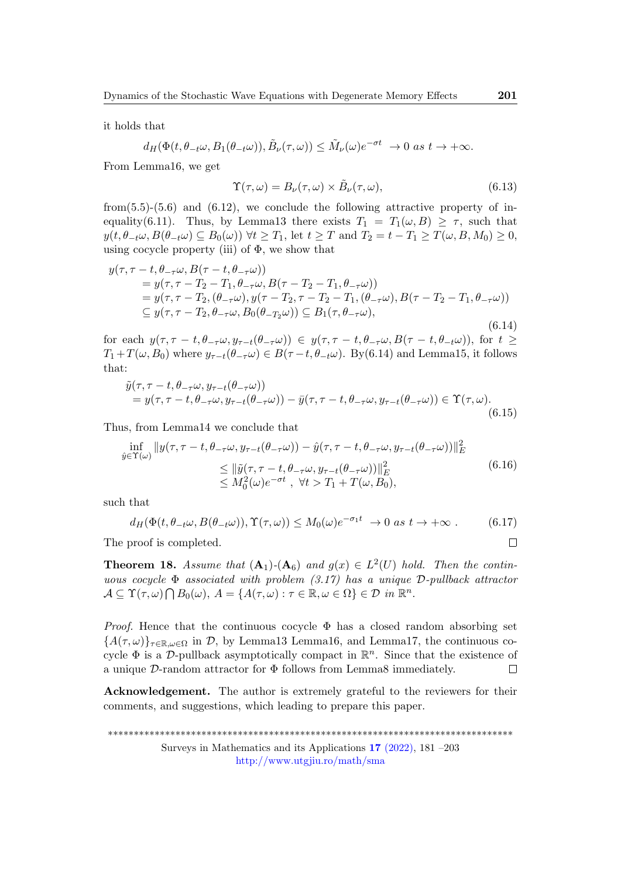it holds that

$$
d_H(\Phi(t, \theta_{-t}\omega, B_1(\theta_{-t}\omega)), \tilde{B}_{\nu}(\tau, \omega)) \leq \tilde{M}_{\nu}(\omega)e^{-\sigma t} \to 0 \text{ as } t \to +\infty.
$$

From Lemma16, we get

$$
\Upsilon(\tau,\omega) = B_{\nu}(\tau,\omega) \times \tilde{B}_{\nu}(\tau,\omega),\tag{6.13}
$$

from(5.5)-(5.6) and (6.12), we conclude the following attractive property of inequality(6.11). Thus, by Lemma13 there exists  $T_1 = T_1(\omega, B) \geq \tau$ , such that  $y(t, \theta_{-t}\omega, B(\theta_{-t}\omega) \subseteq B_0(\omega))$   $\forall t \geq T_1$ , let  $t \geq T$  and  $T_2 = t - T_1 \geq T(\omega, B, M_0) \geq 0$ , using cocycle property (iii) of  $\Phi$ , we show that

$$
y(\tau, \tau - t, \theta_{-\tau}\omega, B(\tau - t, \theta_{-\tau}\omega))
$$
  
=  $y(\tau, \tau - T_2 - T_1, \theta_{-\tau}\omega, B(\tau - T_2 - T_1, \theta_{-\tau}\omega))$   
=  $y(\tau, \tau - T_2, (\theta_{-\tau}\omega), y(\tau - T_2, \tau - T_2 - T_1, (\theta_{-\tau}\omega), B(\tau - T_2 - T_1, \theta_{-\tau}\omega))$   
 $\subseteq y(\tau, \tau - T_2, \theta_{-\tau}\omega, B_0(\theta_{-T_2}\omega)) \subseteq B_1(\tau, \theta_{-\tau}\omega),$  (6.14)

for each  $y(\tau, \tau - t, \theta_{-\tau}\omega, y_{\tau-t}(\theta_{-\tau}\omega)) \in y(\tau, \tau - t, \theta_{-\tau}\omega, B(\tau - t, \theta_{-t}\omega))$ , for  $t \ge$  $T_1+T(\omega, B_0)$  where  $y_{\tau-t}(\theta_{-\tau}\omega) \in B(\tau-t, \theta_{-t}\omega)$ . By(6.14) and Lemma15, it follows that:

$$
\tilde{y}(\tau,\tau-t,\theta_{-\tau}\omega,y_{\tau-t}(\theta_{-\tau}\omega))=y(\tau,\tau-t,\theta_{-\tau}\omega,y_{\tau-t}(\theta_{-\tau}\omega))-\bar{y}(\tau,\tau-t,\theta_{-\tau}\omega,y_{\tau-t}(\theta_{-\tau}\omega))\in \Upsilon(\tau,\omega).
$$
\n(6.15)

Thus, from Lemma14 we conclude that

$$
\inf_{\hat{y}\in\Upsilon(\omega)}\|y(\tau,\tau-t,\theta_{-\tau}\omega,y_{\tau-t}(\theta_{-\tau}\omega))-\hat{y}(\tau,\tau-t,\theta_{-\tau}\omega,y_{\tau-t}(\theta_{-\tau}\omega))\|_{E}^{2}
$$
\n
$$
\leq \|\tilde{y}(\tau,\tau-t,\theta_{-\tau}\omega,y_{\tau-t}(\theta_{-\tau}\omega))\|_{E}^{2}
$$
\n
$$
\leq M_{0}^{2}(\omega)e^{-\sigma t}, \quad \forall t > T_{1}+T(\omega,B_{0}),
$$
\n(6.16)

such that

$$
d_H(\Phi(t, \theta_{-t}\omega, B(\theta_{-t}\omega)), \Upsilon(\tau, \omega)) \le M_0(\omega)e^{-\sigma_1 t} \to 0 \text{ as } t \to +\infty.
$$
 (6.17)

The proof is completed.

**Theorem 18.** Assume that  $(A_1)$ - $(A_6)$  and  $g(x) \in L^2(U)$  hold. Then the continuous cocycle  $\Phi$  associated with problem (3.17) has a unique  $\mathcal{D}\text{-}\text{pullback attractor}$  $\mathcal{A} \subseteq \Upsilon(\tau,\omega) \bigcap B_0(\omega), A = \{A(\tau,\omega) : \tau \in \mathbb{R}, \omega \in \Omega\} \in \mathcal{D}$  in  $\mathbb{R}^n$ .

*Proof.* Hence that the continuous cocycle  $\Phi$  has a closed random absorbing set  ${A(\tau,\omega)}_{\tau\in\mathbb{R},\omega\in\Omega}$  in D, by Lemma13 Lemma16, and Lemma17, the continuous cocycle  $\Phi$  is a D-pullback asymptotically compact in  $\mathbb{R}^n$ . Since that the existence of a unique  $\mathcal{D}$ -random attractor for  $\Phi$  follows from Lemma8 immediately.  $\Box$ 

Acknowledgement. The author is extremely grateful to the reviewers for their comments, and suggestions, which leading to prepare this paper.

\*\*\*\*\*\*\*\*\*\*\*\*\*\*\*\*\*\*\*\*\*\*\*\*\*\*\*\*\*\*\*\*\*\*\*\*\*\*\*\*\*\*\*\*\*\*\*\*\*\*\*\*\*\*\*\*\*\*\*\*\*\*\*\*\*\*\*\*\*\*\*\*\*\*\*\*\*\* Surveys in Mathematics and its Applications 17 [\(2022\),](http://www.utgjiu.ro/math/sma/v17/v17.html) 181 –203 <http://www.utgjiu.ro/math/sma>

 $\Box$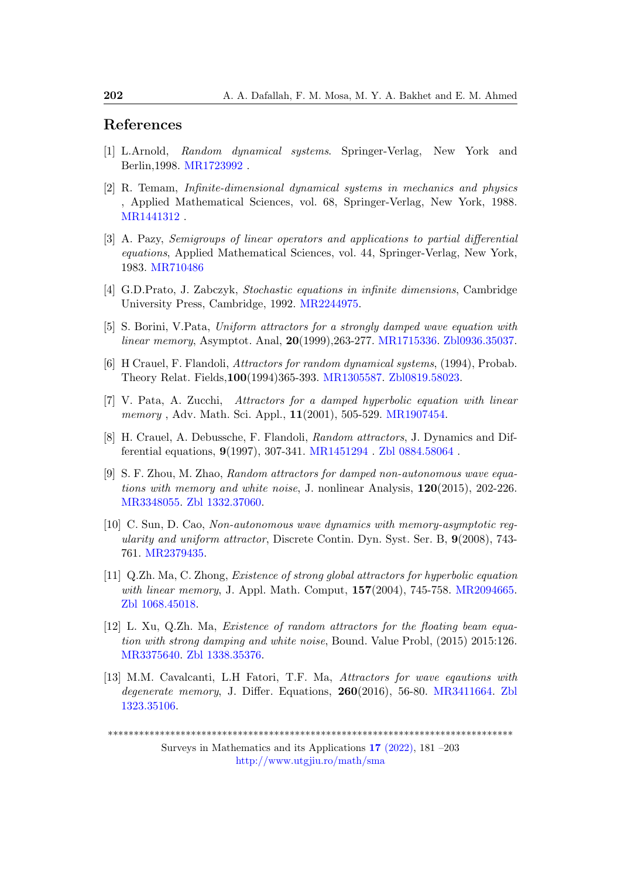# References

- <span id="page-21-4"></span>[1] L.Arnold, Random dynamical systems. Springer-Verlag, New York and Berlin,1998. [MR1723992](https://mathscinet.ams.org/mathscinet-getitem?mr=1723992) .
- <span id="page-21-5"></span>[2] R. Temam, Infinite-dimensional dynamical systems in mechanics and physics , Applied Mathematical Sciences, vol. 68, Springer-Verlag, New York, 1988. [MR1441312](https://mathscinet.ams.org/mathscinet-getitem?mr= 1441312) .
- <span id="page-21-12"></span>[3] A. Pazy, Semigroups of linear operators and applications to partial differential equations, Applied Mathematical Sciences, vol. 44, Springer-Verlag, New York, 1983. [MR710486]( https://mathscinet.ams.org/mathscinet-getitem?mr=710486)
- <span id="page-21-6"></span>[4] G.D.Prato, J. Zabczyk, Stochastic equations in infinite dimensions, Cambridge University Press, Cambridge, 1992. [MR2244975.](http://www.ams.org/mathscinet-getitem?mr=2244975)
- <span id="page-21-0"></span>[5] S. Borini, V.Pata, Uniform attractors for a strongly damped wave equation with linear memory, Asymptot. Anal, 20(1999),263-277. [MR1715336.](http://www.ams.org/mathscinet-getitem?mr=1715336) [Zbl0936.35037.](https://zbmath.org/?q=an:0936.35037)
- <span id="page-21-7"></span>[6] H Crauel, F. Flandoli, Attractors for random dynamical systems, (1994), Probab. Theory Relat. Fields,100(1994)365-393. [MR1305587.](https://mathscinet.ams.org/mathscinet-getitem?mr=1305587) [Zbl0819.58023.](https://zbmath.org/?q=an:0819.58023)
- <span id="page-21-8"></span>[7] V. Pata, A. Zucchi, Attractors for a damped hyperbolic equation with linear memory, Adv. Math. Sci. Appl., 11(2001), 505-529. [MR1907454.](https://mathscinet.ams.org/mathscinet-getitem?mr=MR1907454 )
- <span id="page-21-9"></span>[8] H. Crauel, A. Debussche, F. Flandoli, Random attractors, J. Dynamics and Differential equations, 9(1997), 307-341. [MR1451294](https://mathscinet.ams.org/mathscinet-getitem?mr=1451294) . [Zbl 0884.58064](https://zbmath.org/0884.58064?) .
- <span id="page-21-11"></span>[9] S. F. Zhou, M. Zhao, Random attractors for damped non-autonomous wave equations with memory and white noise, J. nonlinear Analysis,  $120(2015)$ , 202-226. [MR3348055.](http://www.ams.org/mathscinet-getitem?mr= 3348055) [Zbl 1332.37060.](https://zbmath.org/?q=an:1332.37060)
- <span id="page-21-1"></span>[10] C. Sun, D. Cao, Non-autonomous wave dynamics with memory-asymptotic regularity and uniform attractor, Discrete Contin. Dyn. Syst. Ser. B, 9(2008), 743- 761. [MR2379435.](https://mathscinet.ams.org/mathscinet-getitem?mr=2379435)
- <span id="page-21-2"></span>[11] Q.Zh. Ma, C. Zhong, Existence of strong global attractors for hyperbolic equation with linear memory, J. Appl. Math. Comput, 157(2004), 745-758. [MR2094665.](http://www.ams.org/mathscinet-getitem?mr= 2094665) [Zbl 1068.45018.](https://zbmath.org/?q=an:1068.45018)
- <span id="page-21-10"></span>[12] L. Xu, Q.Zh. Ma, Existence of random attractors for the floating beam equation with strong damping and white noise, Bound. Value Probl, (2015) 2015:126. [MR3375640.](http://www.ams.org/mathscinet-getitem?mr=3375640) [Zbl 1338.35376.](https://zbmath.org/?q=an:1338.35376)
- <span id="page-21-3"></span>[13] M.M. Cavalcanti, L.H Fatori, T.F. Ma, Attractors for wave eqautions with degenerate memory, J. Differ. Equations,  $260(2016)$ , 56-80. [MR3411664.](http://www.ams.org/mathscinet-getitem?mr=3411664) [Zbl](https://zbmath.org/?q=an: 1323.35106) [1323.35106.](https://zbmath.org/?q=an: 1323.35106)

<sup>\*\*\*\*\*\*\*\*\*\*\*\*\*\*\*\*\*\*\*\*\*\*\*\*\*\*\*\*\*\*\*\*\*\*\*\*\*\*\*\*\*\*\*\*\*\*\*\*\*\*\*\*\*\*\*\*\*\*\*\*\*\*\*\*\*\*\*\*\*\*\*\*\*\*\*\*\*\*</sup>

Surveys in Mathematics and its Applications 17 [\(2022\),](http://www.utgjiu.ro/math/sma/v17/v17.html) 181 –203 <http://www.utgjiu.ro/math/sma>